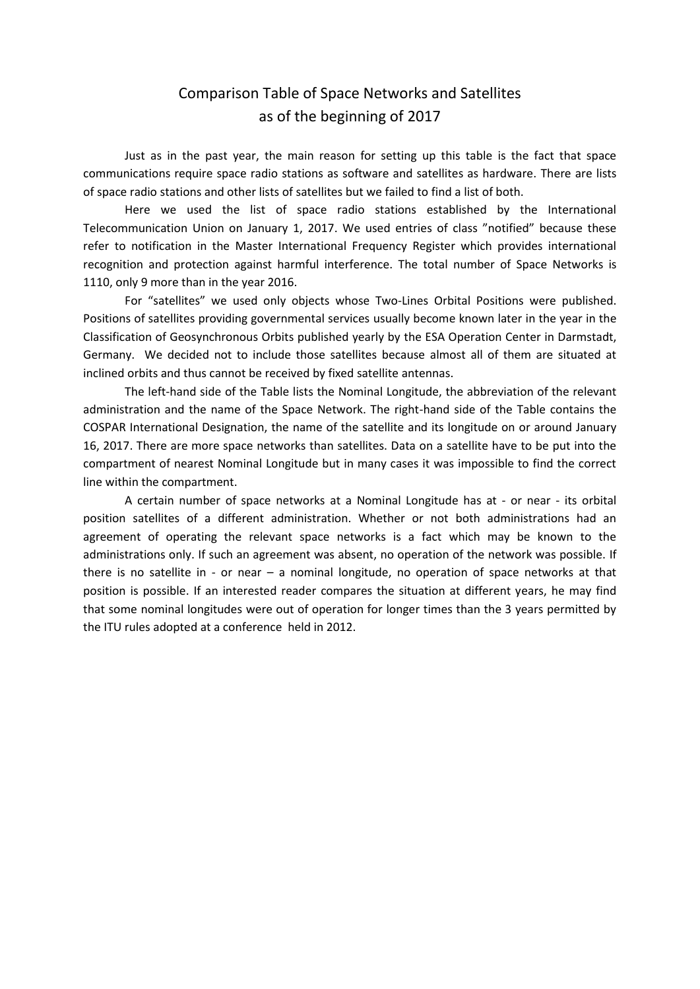## Comparison Table of Space Networks and Satellites as of the beginning of 2017

Just as in the past year, the main reason for setting up this table is the fact that space communications require space radio stations as software and satellites as hardware. There are lists of space radio stations and other lists of satellites but we failed to find a list of both.

Here we used the list of space radio stations established by the International Telecommunication Union on January 1, 2017. We used entries of class "notified" because these refer to notification in the Master International Frequency Register which provides international recognition and protection against harmful interference. The total number of Space Networks is 1110, only 9 more than in the year 2016.

For "satellites" we used only objects whose Two-Lines Orbital Positions were published. Positions of satellites providing governmental services usually become known later in the year in the Classification of Geosynchronous Orbits published yearly by the ESA Operation Center in Darmstadt, Germany. We decided not to include those satellites because almost all of them are situated at inclined orbits and thus cannot be received by fixed satellite antennas.

The left-hand side of the Table lists the Nominal Longitude, the abbreviation of the relevant administration and the name of the Space Network. The right-hand side of the Table contains the COSPAR International Designation, the name of the satellite and its longitude on or around January 16, 2017. There are more space networks than satellites. Data on a satellite have to be put into the compartment of nearest Nominal Longitude but in many cases it was impossible to find the correct line within the compartment.

A certain number of space networks at a Nominal Longitude has at - or near - its orbital position satellites of a different administration. Whether or not both administrations had an agreement of operating the relevant space networks is a fact which may be known to the administrations only. If such an agreement was absent, no operation of the network was possible. If there is no satellite in - or near – a nominal longitude, no operation of space networks at that position is possible. If an interested reader compares the situation at different years, he may find that some nominal longitudes were out of operation for longer times than the 3 years permitted by the ITU rules adopted at a conference held in 2012.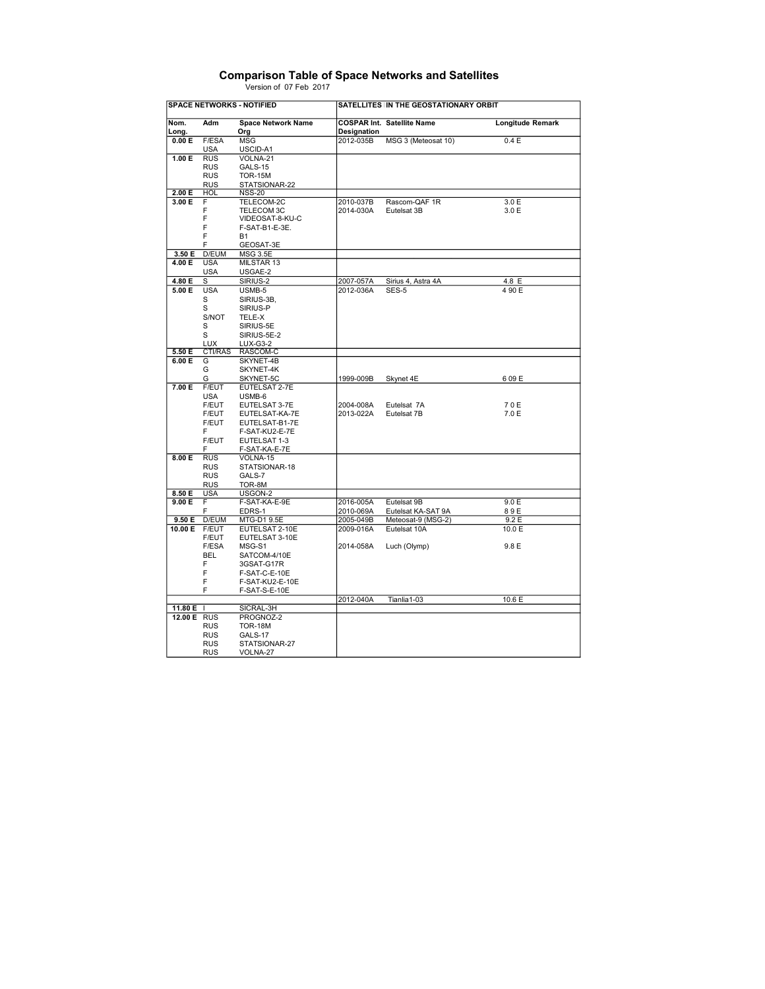|                        | <b>Comparison Table of Space Networks and Satellites</b> |
|------------------------|----------------------------------------------------------|
| Version of 07 Feb 2017 |                                                          |

|                  |                          | <b>SPACE NETWORKS - NOTIFIED</b> |             | SATELLITES IN THE GEOSTATIONARY ORBIT |                  |
|------------------|--------------------------|----------------------------------|-------------|---------------------------------------|------------------|
| Nom.<br>Long.    | Adm                      | <b>Space Network Name</b><br>Org | Designation | <b>COSPAR Int. Satellite Name</b>     | Longitude Remark |
| 0.00 E           | F/ESA                    | MSG                              | 2012-035B   | MSG 3 (Meteosat 10)                   | 0.4 E            |
|                  | <b>USA</b>               | USCID-A1                         |             |                                       |                  |
| 1.00 E           | <b>RUS</b>               | VOLNA-21                         |             |                                       |                  |
|                  | <b>RUS</b>               | GALS-15                          |             |                                       |                  |
|                  | <b>RUS</b>               | <b>TOR-15M</b>                   |             |                                       |                  |
|                  | <b>RUS</b>               | STATSIONAR-22                    |             |                                       |                  |
| 2.00 E           | <b>HOL</b>               | <b>NSS-20</b>                    |             |                                       |                  |
| 3.00 E           | F                        | TELECOM-2C                       | 2010-037B   | Rascom-QAF 1R                         | 3.0 E            |
|                  | F                        | TELECOM 3C                       | 2014-030A   | Eutelsat 3B                           | 3.0 E            |
|                  | F                        | VIDEOSAT-8-KU-C                  |             |                                       |                  |
|                  | F                        | F-SAT-B1-E-3E.                   |             |                                       |                  |
|                  | F                        | <b>B1</b>                        |             |                                       |                  |
|                  | F                        | GEOSAT-3E                        |             |                                       |                  |
| 3.50 E           | D/EUM                    | <b>MSG 3.5E</b>                  |             |                                       |                  |
| 4.00 E           | <b>USA</b>               | MILSTAR 13                       |             |                                       |                  |
| 4.80 E           | <b>USA</b>               | USGAE-2<br>SIRIUS-2              |             |                                       |                  |
|                  | s                        |                                  | 2007-057A   | Sirius 4, Astra 4A                    | 4.8 E            |
| 5.00 E           | <b>USA</b><br>s          | USMB-5                           | 2012-036A   | SES-5                                 | 4 90 E           |
|                  | S                        | SIRIUS-3B,<br>SIRIUS-P           |             |                                       |                  |
|                  | S/NOT                    | TELE-X                           |             |                                       |                  |
|                  | S                        | SIRIUS-5E                        |             |                                       |                  |
|                  | S                        | SIRIUS-5E-2                      |             |                                       |                  |
|                  | <b>LUX</b>               | <b>LUX-G3-2</b>                  |             |                                       |                  |
| 5.50E            | <b>CTI/RAS</b>           | RASCOM-C                         |             |                                       |                  |
| 6.00 E           | G                        | SKYNET-4B                        |             |                                       |                  |
|                  | G                        | SKYNET-4K                        |             |                                       |                  |
|                  | G                        | SKYNET-5C                        | 1999-009B   | Skynet 4E                             | 609E             |
| 7.00 E           | F/EUT                    | EUTELSAT 2-7E                    |             |                                       |                  |
|                  | <b>USA</b>               | USMB-6                           |             |                                       |                  |
|                  | F/EUT                    | EUTELSAT 3-7E                    | 2004-008A   | Eutelsat 7A                           | 70E              |
|                  | F/EUT                    | EUTELSAT-KA-7E                   | 2013-022A   | Eutelsat 7B                           | 7.0 E            |
|                  | F/EUT                    | EUTELSAT-B1-7E                   |             |                                       |                  |
|                  | F                        | F-SAT-KU2-E-7E                   |             |                                       |                  |
|                  | F/EUT                    | EUTELSAT 1-3                     |             |                                       |                  |
|                  | F                        | F-SAT-KA-E-7E                    |             |                                       |                  |
| 8.00 E           | <b>RUS</b>               | VOLNA-15                         |             |                                       |                  |
|                  | <b>RUS</b>               | STATSIONAR-18                    |             |                                       |                  |
|                  | <b>RUS</b>               | GALS-7                           |             |                                       |                  |
|                  | <b>RUS</b><br><b>USA</b> | TOR-8M                           |             |                                       |                  |
| 8.50 E<br>9.00 E | F.                       | USGON-2<br>F-SAT-KA-E-9E         | 2016-005A   | Eutelsat 9B                           | 9.0 E            |
|                  | F                        | EDRS-1                           | 2010-069A   | Eutelsat KA-SAT 9A                    | 89E              |
| 9.50 E           | D/EUM                    | MTG-D1 9.5E                      | 2005-049B   | Meteosat-9 (MSG-2)                    | 9.2E             |
| 10.00 E          | F/EUT                    | EUTELSAT 2-10E                   | 2009-016A   | Eutelsat 10A                          | 10.0 E           |
|                  | F/EUT                    | EUTELSAT 3-10E                   |             |                                       |                  |
|                  | F/ESA                    | MSG-S1                           | 2014-058A   | Luch (Olymp)                          | 9.8 E            |
|                  | <b>BEL</b>               | SATCOM-4/10E                     |             |                                       |                  |
|                  | F                        | 3GSAT-G17R                       |             |                                       |                  |
|                  | F                        | F-SAT-C-E-10E                    |             |                                       |                  |
|                  | F                        | F-SAT-KU2-E-10E                  |             |                                       |                  |
|                  | F                        | F-SAT-S-E-10E                    |             |                                       |                  |
|                  |                          |                                  | 2012-040A   | Tianlia 1-03                          | 10.6 E           |
| 11.80 E          |                          | SICRAL-3H                        |             |                                       |                  |
| 12.00 E RUS      |                          | PROGNOZ-2                        |             |                                       |                  |
|                  | <b>RUS</b>               | <b>TOR-18M</b>                   |             |                                       |                  |
|                  | <b>RUS</b>               | <b>GALS-17</b>                   |             |                                       |                  |
|                  | <b>RUS</b>               | STATSIONAR-27                    |             |                                       |                  |
|                  | <b>RUS</b>               | VOLNA-27                         |             |                                       |                  |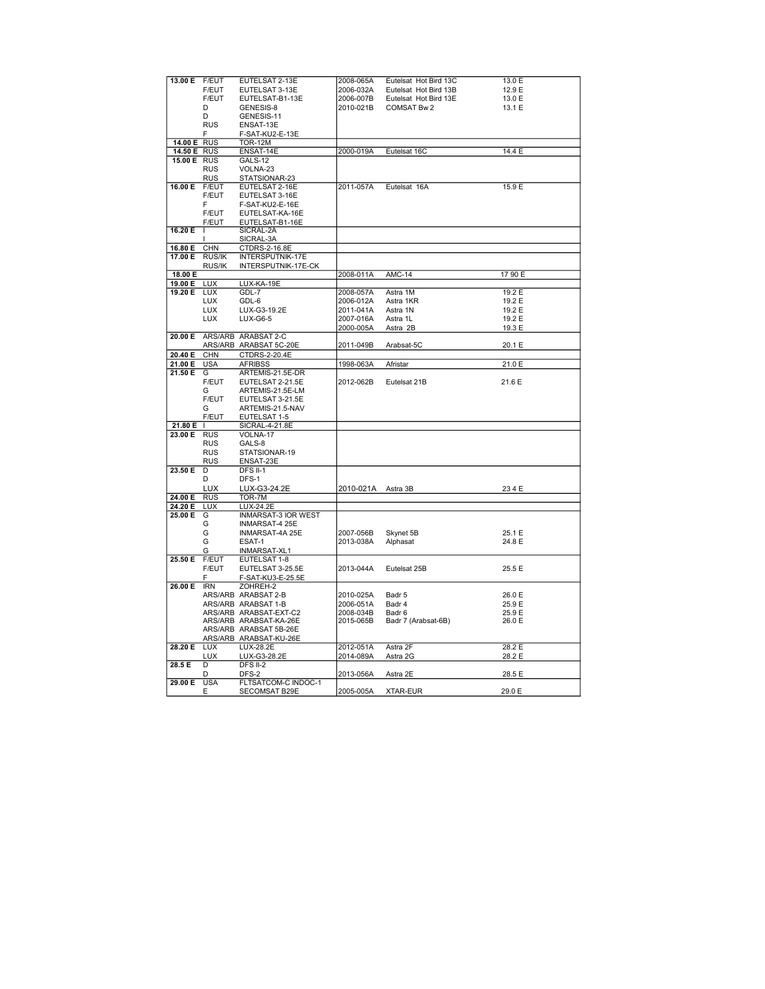| 13.00 E     | F/EUT           | EUTELSAT 2-13E                       | 2008-065A | Eutelsat Hot Bird 13C | 13.0 E  |
|-------------|-----------------|--------------------------------------|-----------|-----------------------|---------|
|             | F/EUT           | EUTELSAT 3-13E                       | 2006-032A | Eutelsat Hot Bird 13B | 12.9 E  |
|             | F/EUT           | EUTELSAT-B1-13E                      | 2006-007B | Eutelsat Hot Bird 13E | 13.0 E  |
|             | D               | GENESIS-8                            | 2010-021B | COMSAT Bw 2           | 13.1 E  |
|             |                 |                                      |           |                       |         |
|             | D               | GENESIS-11                           |           |                       |         |
|             | <b>RUS</b>      | ENSAT-13E                            |           |                       |         |
|             | F               | F-SAT-KU2-E-13E                      |           |                       |         |
| 14.00 E     | <b>RUS</b>      | <b>TOR-12M</b>                       |           |                       |         |
|             |                 |                                      |           |                       |         |
| 14.50 E     | <b>RUS</b>      | ENSAT-14E                            | 2000-019A | Eutelsat 16C          | 14.4 E  |
| 15.00 E RUS |                 | GALS-12                              |           |                       |         |
|             | <b>RUS</b>      | VOLNA-23                             |           |                       |         |
|             |                 |                                      |           |                       |         |
|             | <b>RUS</b>      | STATSIONAR-23                        |           |                       |         |
| 16.00 E     | F/EUT           | EUTELSAT 2-16E                       | 2011-057A | Eutelsat 16A          | 15.9 E  |
|             | <b>F/EUT</b>    | EUTELSAT 3-16E                       |           |                       |         |
|             | F               | F-SAT-KU2-E-16E                      |           |                       |         |
|             |                 |                                      |           |                       |         |
|             | F/EUT           | EUTELSAT-KA-16E                      |           |                       |         |
|             | F/EUT           | EUTELSAT-B1-16E                      |           |                       |         |
| 16.20 E     | J.              | SICRAL-2A                            |           |                       |         |
|             |                 | SICRAL-3A                            |           |                       |         |
|             |                 |                                      |           |                       |         |
| 16.80 E     | <b>CHN</b>      | CTDRS-2-16.8E                        |           |                       |         |
| 17.00 E     | RUS/IK          | <b>INTERSPUTNIK-17E</b>              |           |                       |         |
|             | RUS/IK          | INTERSPUTNIK-17E-CK                  |           |                       |         |
| 18.00 E     |                 |                                      | 2008-011A | <b>AMC-14</b>         | 17 90 E |
|             |                 |                                      |           |                       |         |
| 19.00 E     | <b>LUX</b>      | LUX-KA-19E                           |           |                       |         |
| 19.20 E     | <b>LUX</b>      | GDL-7                                | 2008-057A | Astra 1M              | 19.2 E  |
|             | LUX             | GDL-6                                | 2006-012A | Astra 1KR             | 19.2 E  |
|             | <b>LUX</b>      | LUX-G3-19.2E                         | 2011-041A | Astra 1N              | 19.2 E  |
|             |                 |                                      |           |                       |         |
|             | <b>LUX</b>      | $LUX-G6-5$                           | 2007-016A | Astra 1L              | 19.2 E  |
|             |                 |                                      | 2000-005A | Astra 2B              | 19.3 E  |
| 20.00 E     |                 | ARS/ARB ARABSAT 2-C                  |           |                       |         |
|             |                 |                                      | 2011-049B |                       |         |
|             |                 | ARS/ARB ARABSAT 5C-20E               |           | Arabsat-5C            | 20.1 E  |
| 20.40 E     | <b>CHN</b>      | CTDRS-2-20.4E                        |           |                       |         |
| 21.00 E     | <b>USA</b>      | <b>AFRIBSS</b>                       | 1998-063A | Afristar              | 21.0 E  |
| 21.50 E     | G               | ARTEMIS-21.5E-DR                     |           |                       |         |
|             |                 |                                      |           |                       |         |
|             | F/EUT           | EUTELSAT 2-21.5E                     | 2012-062B | Eutelsat 21B          | 21.6 E  |
|             | G               | ARTEMIS-21.5E-LM                     |           |                       |         |
|             | <b>F/EUT</b>    | EUTELSAT 3-21.5E                     |           |                       |         |
|             | G               | ARTEMIS-21.5-NAV                     |           |                       |         |
|             |                 |                                      |           |                       |         |
|             | F/EUT           | EUTELSAT 1-5                         |           |                       |         |
| 21.80 E     |                 | SICRAL-4-21.8E                       |           |                       |         |
| 23.00 E     | <b>RUS</b>      | VOLNA-17                             |           |                       |         |
|             | <b>RUS</b>      | GALS-8                               |           |                       |         |
|             |                 |                                      |           |                       |         |
|             | <b>RUS</b>      | STATSIONAR-19                        |           |                       |         |
|             | <b>RUS</b>      | ENSAT-23E                            |           |                       |         |
| 23.50 E     | D               | <b>DFS II-1</b>                      |           |                       |         |
|             | D               |                                      |           |                       |         |
|             |                 |                                      |           |                       |         |
|             |                 | DFS-1                                |           |                       |         |
|             | LUX             | LUX-G3-24.2E                         | 2010-021A | Astra 3B              | 234 E   |
| 24.00 E     | <b>RUS</b>      | TOR-7M                               |           |                       |         |
| 24.20 E     | LUX             | LUX-24.2E                            |           |                       |         |
|             |                 |                                      |           |                       |         |
| 25.00 E     | G               | <b>INMARSAT-3 IOR WEST</b>           |           |                       |         |
|             | G               | <b>INMARSAT-4 25E</b>                |           |                       |         |
|             | G               | INMARSAT-4A 25E                      | 2007-056B | Skynet 5B             | 25.1 E  |
|             | G               | ESAT-1                               | 2013-038A | Alphasat              | 24.8 E  |
|             | G               |                                      |           |                       |         |
|             |                 | INMARSAT-XL1                         |           |                       |         |
| 25.50 E     | F/EUT           | EUTELSAT 1-8                         |           |                       |         |
|             | F/EUT           | EUTELSAT 3-25.5E                     | 2013-044A | Eutelsat 25B          | 25.5 E  |
|             | F               | F-SAT-KU3-E-25.5E                    |           |                       |         |
| 26.00 E     | <b>IRN</b>      | ZOHREH-2                             |           |                       |         |
|             |                 |                                      |           |                       |         |
|             |                 | ARS/ARB ARABSAT 2-B                  | 2010-025A | Badr 5                | 26.0 E  |
|             |                 | ARS/ARB ARABSAT 1-B                  | 2006-051A | Badr 4                | 25.9 E  |
|             |                 | ARS/ARB ARABSAT-EXT-C2               | 2008-034B | Badr 6                | 25.9 E  |
|             |                 | ARS/ARB ARABSAT-KA-26E               | 2015-065B | Badr 7 (Arabsat-6B)   | 26.0 E  |
|             |                 |                                      |           |                       |         |
|             |                 | ARS/ARB ARABSAT 5B-26E               |           |                       |         |
|             | ARS/ARB         | ARABSAT-KU-26E                       |           |                       |         |
| 28.20 E     | <b>LUX</b>      | LUX-28.2E                            | 2012-051A | Astra 2F              | 28.2 E  |
|             | <b>LUX</b>      | LUX-G3-28.2E                         | 2014-089A | Astra 2G              | 28.2 E  |
|             |                 |                                      |           |                       |         |
| 28.5 E      | D               | DFS II-2                             |           |                       |         |
|             | D               | DFS-2                                | 2013-056A | Astra 2E              | 28.5 E  |
| 29.00 E     | <b>USA</b><br>Ε | FLTSATCOM-C INDOC-1<br>SECOMSAT B29E | 2005-005A | <b>XTAR-EUR</b>       | 29.0 E  |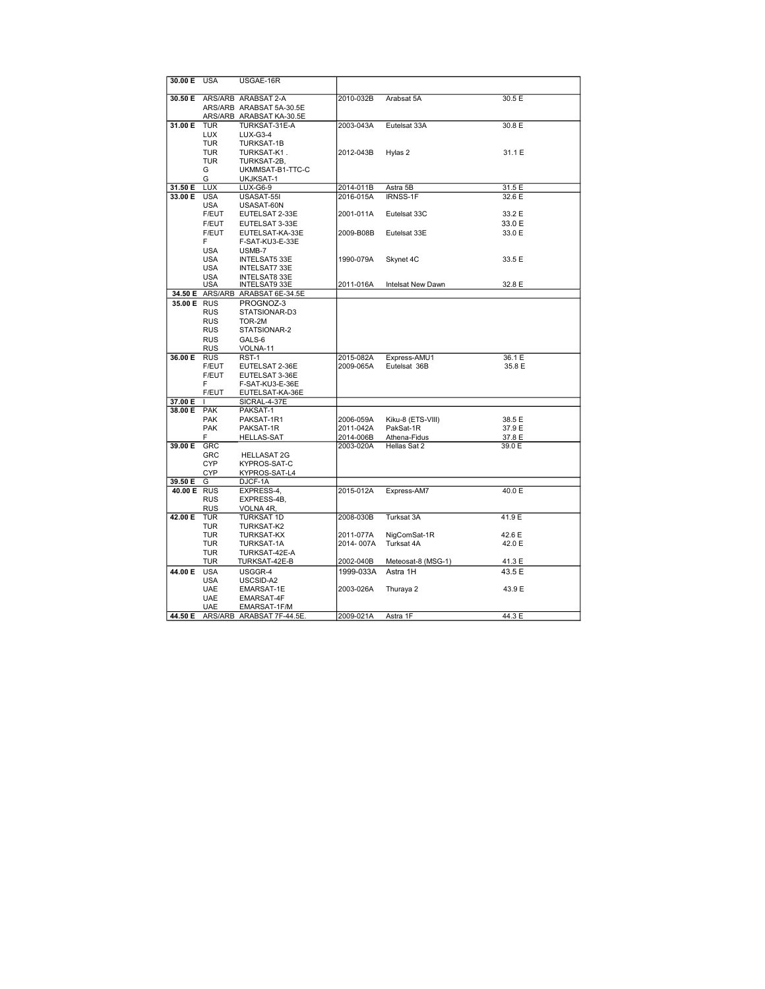| 30.00 E            | <b>USA</b>               | USGAE-16R                       |                        |                             |                  |
|--------------------|--------------------------|---------------------------------|------------------------|-----------------------------|------------------|
| 30.50 E            |                          | ARS/ARB ARABSAT 2-A             | 2010-032B              | Arabsat 5A                  | 30.5 E           |
|                    |                          | ARS/ARB ARABSAT 5A-30.5E        |                        |                             |                  |
|                    | ARS/ARB                  | ARABSAT KA-30.5E                |                        |                             |                  |
| 31.00 E            | <b>TUR</b>               | TURKSAT-31E-A                   | 2003-043A              | Eutelsat 33A                | 30.8 E           |
|                    | <b>LUX</b>               | <b>LUX-G3-4</b>                 |                        |                             |                  |
|                    | <b>TUR</b>               | TURKSAT-1B                      |                        |                             |                  |
|                    | <b>TUR</b>               | TURKSAT-K1.                     | 2012-043B              | Hylas 2                     | 31.1 E           |
|                    | <b>TUR</b>               | TURKSAT-2B,                     |                        |                             |                  |
|                    | G                        | UKMMSAT-B1-TTC-C                |                        |                             |                  |
|                    | G                        | UKJKSAT-1                       |                        |                             |                  |
| 31.50 E<br>33.00 E | <b>LUX</b><br><b>USA</b> | LUX-G6-9<br>USASAT-55I          | 2014-011B<br>2016-015A | Astra 5B<br><b>IRNSS-1F</b> | 31.5 E<br>32.6 E |
|                    | <b>USA</b>               | USASAT-60N                      |                        |                             |                  |
|                    | F/EUT                    | EUTELSAT 2-33E                  | 2001-011A              | Eutelsat 33C                | 33.2 E           |
|                    | F/EUT                    | EUTELSAT 3-33E                  |                        |                             | 33.0 E           |
|                    | F/EUT                    | EUTELSAT-KA-33E                 | 2009-B08B              | Eutelsat 33E                | 33.0 E           |
|                    | F                        | F-SAT-KU3-E-33E                 |                        |                             |                  |
|                    | <b>USA</b>               | USMB-7                          |                        |                             |                  |
|                    | <b>USA</b>               | <b>INTELSAT5 33E</b>            | 1990-079A              | Skynet 4C                   | 33.5 E           |
|                    | <b>USA</b>               | INTELSAT7 33E                   |                        |                             |                  |
|                    | <b>USA</b>               | <b>INTELSAT8 33E</b>            |                        |                             |                  |
|                    | <b>USA</b>               | <b>INTELSAT9 33E</b>            | 2011-016A              | Intelsat New Dawn           | 32.8 E           |
| 34.50 E            | ARS/ARB                  | ARABSAT 6E-34.5E                |                        |                             |                  |
| 35.00 E RUS        |                          | PROGNOZ-3                       |                        |                             |                  |
|                    | <b>RUS</b>               | STATSIONAR-D3                   |                        |                             |                  |
|                    | <b>RUS</b>               | TOR-2M                          |                        |                             |                  |
|                    | <b>RUS</b>               | STATSIONAR-2                    |                        |                             |                  |
|                    | <b>RUS</b>               | GALS-6                          |                        |                             |                  |
|                    | <b>RUS</b>               | VOLNA-11                        |                        |                             |                  |
| 36.00 E            | <b>RUS</b>               | RST-1                           | 2015-082A              | Express-AMU1                | 36.1 E           |
|                    | F/EUT                    | EUTELSAT 2-36E                  | 2009-065A              | Eutelsat 36B                | 35.8 E           |
|                    | F/EUT                    | EUTELSAT 3-36E                  |                        |                             |                  |
|                    | F                        | F-SAT-KU3-E-36E                 |                        |                             |                  |
| 37.00 E            | F/EUT<br><b>I</b>        | EUTELSAT-KA-36E<br>SICRAL-4-37E |                        |                             |                  |
| 38.00 E            | <b>PAK</b>               | PAKSAT-1                        |                        |                             |                  |
|                    | <b>PAK</b>               | PAKSAT-1R1                      | 2006-059A              | Kiku-8 (ETS-VIII)           | 38.5 E           |
|                    | <b>PAK</b>               | PAKSAT-1R                       | 2011-042A              | PakSat-1R                   | 37.9 E           |
|                    | F                        | <b>HELLAS-SAT</b>               | 2014-006B              | Athena-Fidus                | 37.8 E           |
| 39.00 E            | GRC                      |                                 | 2003-020A              | Hellas Sat 2                | 39.0 E           |
|                    | GRC                      | <b>HELLASAT 2G</b>              |                        |                             |                  |
|                    | <b>CYP</b>               | KYPROS-SAT-C                    |                        |                             |                  |
|                    | <b>CYP</b>               | KYPROS-SAT-L4                   |                        |                             |                  |
| 39.50 E            | G                        | DJCF-1A                         |                        |                             |                  |
| 40.00 E            | <b>RUS</b>               | EXPRESS-4,                      | 2015-012A              | Express-AM7                 | 40.0 E           |
|                    | <b>RUS</b>               | EXPRESS-4B.                     |                        |                             |                  |
|                    | <b>RUS</b>               | VOLNA 4R,                       |                        |                             |                  |
| 42.00 E            | <b>TUR</b>               | <b>TURKSAT 1D</b>               | 2008-030B              | Turksat 3A                  | 41.9 E           |
|                    | <b>TUR</b>               | TURKSAT-K2                      |                        |                             |                  |
|                    | TUR                      | <b>TURKSAT-KX</b>               | 2011-077A              | NigComSat-1R                | 42.6 E           |
|                    | TUR                      | TURKSAT-1A                      | 2014-007A              | Turksat 4A                  | 42.0 E           |
|                    | <b>TUR</b>               | TURKSAT-42E-A                   |                        |                             |                  |
|                    | TUR                      | TURKSAT-42E-B                   | 2002-040B              | Meteosat-8 (MSG-1)          | 41.3 E           |
| 44.00 E            | <b>USA</b>               | USGGR-4                         | 1999-033A              | Astra 1H                    | 43.5 E           |
|                    | <b>USA</b><br><b>UAE</b> | USCSID-A2                       |                        |                             |                  |
|                    | <b>UAE</b>               | EMARSAT-1E<br>EMARSAT-4F        | 2003-026A              | Thuraya 2                   | 43.9 E           |
|                    | <b>UAE</b>               | EMARSAT-1F/M                    |                        |                             |                  |
| 44.50 E            |                          | ARS/ARB ARABSAT 7F-44.5E.       | 2009-021A              | Astra 1F                    | 44.3 E           |
|                    |                          |                                 |                        |                             |                  |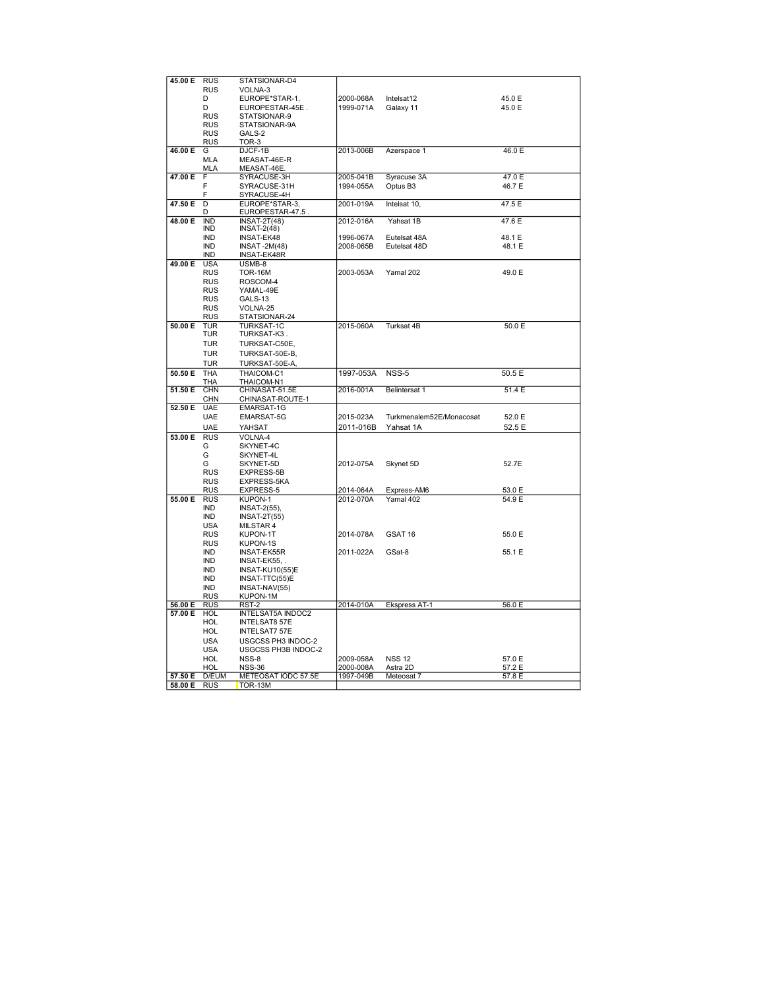| 45.00 E | <b>RUS</b> | STATSIONAR-D4            |           |                          |        |
|---------|------------|--------------------------|-----------|--------------------------|--------|
|         | <b>RUS</b> | VOLNA-3                  |           |                          |        |
|         | D          | EUROPE*STAR-1,           | 2000-068A | Intelsat12               | 45.0 E |
|         | D          | EUROPESTAR-45E.          | 1999-071A | Galaxy 11                | 45.0 E |
|         | <b>RUS</b> | STATSIONAR-9             |           |                          |        |
|         |            |                          |           |                          |        |
|         | <b>RUS</b> | STATSIONAR-9A            |           |                          |        |
|         | <b>RUS</b> | GALS-2                   |           |                          |        |
|         | RUS        | TOR-3                    |           |                          |        |
| 46.00 E | G          | DJCF-1B                  | 2013-006B | Azerspace 1              | 46.0 E |
|         | <b>MLA</b> | MEASAT-46E-R             |           |                          |        |
|         | MLA        | MEASAT-46E.              |           |                          |        |
| 47.00 E | F          | SYRACUSE-3H              | 2005-041B | Syracuse 3A              | 47.0 E |
|         | F          | SYRACUSE-31H             | 1994-055A | Optus B3                 | 46.7 E |
|         | F          | SYRACUSE-4H              |           |                          |        |
| 47.50 E | D          | EUROPE*STAR-3,           | 2001-019A | Intelsat 10,             | 47.5 E |
|         |            |                          |           |                          |        |
|         | D          | EUROPESTAR-47.5          |           |                          |        |
| 48.00 E | <b>IND</b> | <b>INSAT-2T(48)</b>      | 2012-016A | Yahsat 1B                | 47.6 E |
|         | IND        | $INSAT-2(48)$            |           |                          |        |
|         | <b>IND</b> | <b>INSAT-EK48</b>        | 1996-067A | Eutelsat 48A             | 48.1 E |
|         | <b>IND</b> | <b>INSAT-2M(48)</b>      | 2008-065B | Eutelsat 48D             | 48.1 E |
|         | IND        | INSAT-EK48R              |           |                          |        |
| 49.00 E | <b>USA</b> | USMB-8                   |           |                          |        |
|         | <b>RUS</b> | <b>TOR-16M</b>           | 2003-053A | Yamal 202                | 49.0 E |
|         | <b>RUS</b> | ROSCOM-4                 |           |                          |        |
|         | <b>RUS</b> | YAMAL-49E                |           |                          |        |
|         | <b>RUS</b> | GALS-13                  |           |                          |        |
|         |            |                          |           |                          |        |
|         | <b>RUS</b> | VOLNA-25                 |           |                          |        |
|         | <b>RUS</b> | STATSIONAR-24            |           |                          |        |
| 50.00 E | <b>TUR</b> | <b>TURKSAT-1C</b>        | 2015-060A | Turksat 4B               | 50.0 E |
|         | <b>TUR</b> | TURKSAT-K3.              |           |                          |        |
|         | <b>TUR</b> | TURKSAT-C50E,            |           |                          |        |
|         | <b>TUR</b> | TURKSAT-50E-B,           |           |                          |        |
|         |            |                          |           |                          |        |
|         | <b>TUR</b> | TURKSAT-50E-A            |           |                          |        |
| 50.50 E | <b>THA</b> | THAICOM-C1               | 1997-053A | NSS-5                    | 50.5 E |
|         | THA        | THAICOM-N1               |           |                          |        |
| 51.50E  | CHN        | CHINASAT-51.5E           | 2016-001A | <b>Belintersat 1</b>     | 51.4E  |
|         | <b>CHN</b> | CHINASAT-ROUTE-1         |           |                          |        |
| 52.50 E | <b>UAE</b> | EMARSAT-1G               |           |                          |        |
|         | <b>UAE</b> | EMARSAT-5G               | 2015-023A | Turkmenalem52E/Monacosat | 52.0 E |
|         |            |                          |           |                          |        |
|         | <b>UAE</b> | YAHSAT                   | 2011-016B | Yahsat 1A                | 52.5 E |
| 53.00 E | <b>RUS</b> | VOLNA-4                  |           |                          |        |
|         | G          | SKYNET-4C                |           |                          |        |
|         | G          | SKYNET-4L                |           |                          |        |
|         | G          | SKYNET-5D                | 2012-075A | Skynet 5D                | 52.7E  |
|         | <b>RUS</b> | EXPRESS-5B               |           |                          |        |
|         | RUS        | EXPRESS-5KA              |           |                          |        |
|         | <b>RUS</b> | EXPRESS-5                | 2014-064A | Express-AM6              | 53.0 E |
| 55.00 E | <b>RUS</b> | KUPON-1                  | 2012-070A | Yamal 402                | 54.9 E |
|         |            |                          |           |                          |        |
|         | IND        | $INSAT-2(55)$            |           |                          |        |
|         | <b>IND</b> | <b>INSAT-2T(55)</b>      |           |                          |        |
|         | <b>USA</b> | MILSTAR 4                |           |                          |        |
|         | <b>RUS</b> | KUPON-1T                 | 2014-078A | GSAT 16                  | 55.0 E |
|         | <b>RUS</b> | KUPON-1S                 |           |                          |        |
|         | <b>IND</b> | <b>INSAT-EK55R</b>       | 2011-022A | GSat-8                   | 55.1 E |
|         | IND        | INSAT-EK55,              |           |                          |        |
|         | <b>IND</b> | <b>INSAT-KU10(55)E</b>   |           |                          |        |
|         | <b>IND</b> | INSAT-TTC(55)E           |           |                          |        |
|         | IND        |                          |           |                          |        |
|         |            | INSAT-NAV(55)            |           |                          |        |
|         | <b>RUS</b> | KUPON-1M                 |           |                          |        |
| 56.00 E | <b>RUS</b> | RST-2                    | 2014-010A | Ekspress AT-1            | 56.0 E |
| 57.00 E | HOL        | <b>INTELSAT5A INDOC2</b> |           |                          |        |
|         | HOL        | <b>INTELSAT8 57E</b>     |           |                          |        |
|         | HOL        | <b>INTELSAT7 57E</b>     |           |                          |        |
|         | <b>USA</b> | USGCSS PH3 INDOC-2       |           |                          |        |
|         | USA        | USGCSS PH3B INDOC-2      |           |                          |        |
|         | HOL        | NSS-8                    | 2009-058A | <b>NSS 12</b>            | 57.0 E |
|         |            |                          |           |                          |        |
|         | <b>HOL</b> | <b>NSS-36</b>            | 2000-008A | Astra 2D                 | 57.2 E |
| 57.50 E | D/EUM      | METEOSAT IODC 57.5E      | 1997-049B | Meteosat 7               | 57.8 E |
| 58.00 E | <b>RUS</b> | TOR-13M                  |           |                          |        |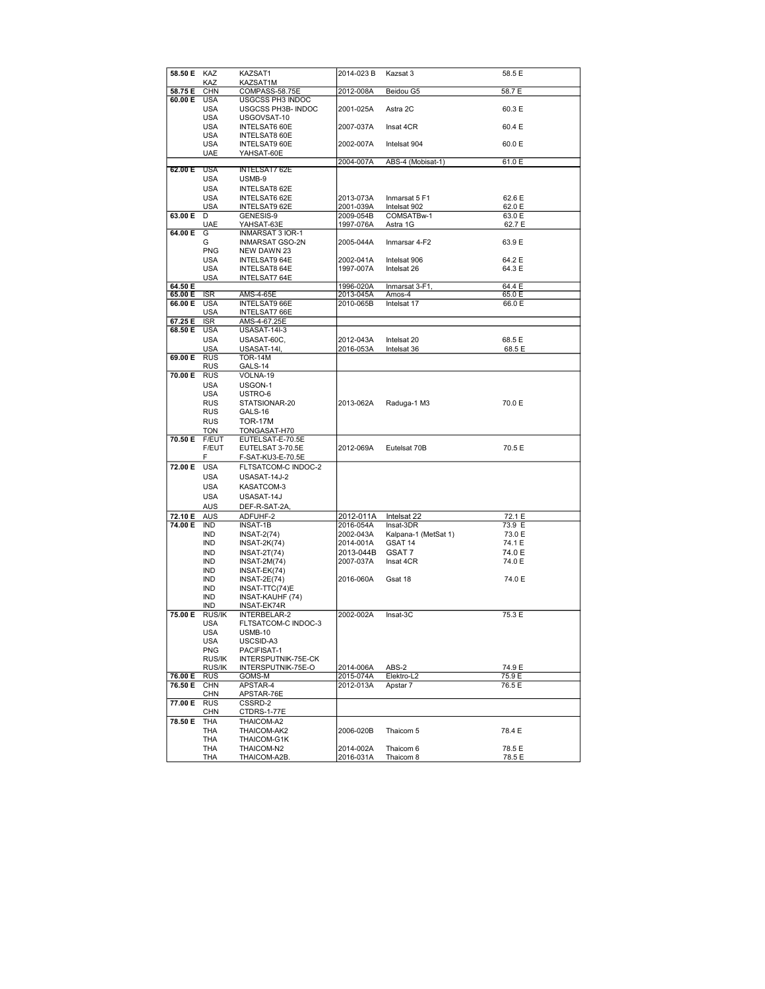| 58.50 E KAZ |               | KAZSAT1                    | 2014-023 B             | Kazsat 3               | 58.5 E           |
|-------------|---------------|----------------------------|------------------------|------------------------|------------------|
|             | KAZ           | KAZSAT1M                   |                        |                        |                  |
| 58.75 E     | <b>CHN</b>    | COMPASS-58.75E             | 2012-008A              | Beidou G5              | 58.7 E           |
| 60.00 E     |               |                            |                        |                        |                  |
|             | <b>USA</b>    | USGCSS PH3 INDOC           |                        |                        |                  |
|             | <b>USA</b>    | USGCSS PH3B- INDOC         | 2001-025A              | Astra 2C               | 60.3 E           |
|             | <b>USA</b>    | USGOVSAT-10                |                        |                        |                  |
|             | <b>USA</b>    | INTELSAT6 60E              | 2007-037A              | Insat 4CR              | 60.4 E           |
|             |               |                            |                        |                        |                  |
|             | <b>USA</b>    | <b>INTELSAT8 60E</b>       |                        |                        |                  |
|             | <b>USA</b>    | <b>INTELSAT9 60E</b>       | 2002-007A              | Intelsat 904           | 60.0 E           |
|             | UAE           | YAHSAT-60E                 |                        |                        |                  |
|             |               |                            | 2004-007A              | ABS-4 (Mobisat-1)      | 61.0 E           |
|             |               |                            |                        |                        |                  |
| 62.00 E     | <b>USA</b>    | <b>INTELSAT7 62E</b>       |                        |                        |                  |
|             | USA           | USMB-9                     |                        |                        |                  |
|             | <b>USA</b>    | INTELSAT8 62E              |                        |                        |                  |
|             |               |                            |                        |                        |                  |
|             | <b>USA</b>    | INTELSAT6 62E              | 2013-073A              | Inmarsat 5 F1          | 62.6 E           |
|             | <b>USA</b>    | INTELSAT9 62E              | 2001-039A              | Intelsat 902           | 62.0 E           |
| 63.00 E     | D             | GENESIS-9                  | 2009-054B              | COMSATBw-1             | 63.0 E           |
|             | UAE           | YAHSAT-63E                 | 1997-076A              | Astra 1G               | 62.7 E           |
|             |               |                            |                        |                        |                  |
| 64.00 E     | G             | <b>INMARSAT 3 IOR-1</b>    |                        |                        |                  |
|             | G             | INMARSAT GSO-2N            | 2005-044A              | Inmarsar 4-F2          | 63.9 E           |
|             | <b>PNG</b>    | NEW DAWN 23                |                        |                        |                  |
|             | USA           | INTELSAT9 64E              | 2002-041A              | Intelsat 906           | 64.2 E           |
|             |               |                            |                        |                        |                  |
|             | USA           | <b>INTELSAT8 64E</b>       | 1997-007A              | Intelsat 26            | 64.3 E           |
|             | <b>USA</b>    | <b>INTELSAT7 64E</b>       |                        |                        |                  |
| 64.50 E     |               |                            | 1996-020A              | Inmarsat 3-F1,         | 64.4 E           |
| 65.00 E     | <b>ISR</b>    | AMS-4-65E                  | 2013-045A              | Amos-4                 | 65.0 E           |
|             |               |                            |                        |                        |                  |
| 66.00 E     | <b>USA</b>    | <b>INTELSAT9 66E</b>       | 2010-065B              | Intelsat 17            | 66.0 E           |
|             | <b>USA</b>    | <b>INTELSAT7 66E</b>       |                        |                        |                  |
| 67.25 E     | <b>ISR</b>    | AMS-4-67.25E               |                        |                        |                  |
| 68.50 E     | <b>USA</b>    | <b>USASAT-14I-3</b>        |                        |                        |                  |
|             |               |                            |                        |                        |                  |
|             | <b>USA</b>    | USASAT-60C,                | 2012-043A              | Intelsat 20            | 68.5 E           |
|             | <b>USA</b>    | USASAT-14I,                | 2016-053A              | Intelsat 36            | 68.5 E           |
| 69.00 E     | <b>RUS</b>    | <b>TOR-14M</b>             |                        |                        |                  |
|             |               |                            |                        |                        |                  |
|             | RUS           | GALS-14                    |                        |                        |                  |
| 70.00 E     | <b>RUS</b>    | VOLNA-19                   |                        |                        |                  |
|             | <b>USA</b>    | USGON-1                    |                        |                        |                  |
|             |               |                            |                        |                        |                  |
|             | <b>USA</b>    | USTRO-6                    |                        |                        |                  |
|             | <b>RUS</b>    | STATSIONAR-20              | 2013-062A              | Raduga-1 M3            | 70.0 E           |
|             | RUS           | GALS-16                    |                        |                        |                  |
|             | <b>RUS</b>    | <b>TOR-17M</b>             |                        |                        |                  |
|             |               |                            |                        |                        |                  |
|             | <b>TON</b>    | TONGASAT-H70               |                        |                        |                  |
| 70.50 E     | F/EUT         | EUTELSAT-E-70.5E           |                        |                        |                  |
|             | F/EUT         | EUTELSAT 3-70.5E           | 2012-069A              | Eutelsat 70B           | 70.5 E           |
|             |               |                            |                        |                        |                  |
|             | F             | F-SAT-KU3-E-70.5E          |                        |                        |                  |
| 72.00 E     | <b>USA</b>    | FLTSATCOM-C INDOC-2        |                        |                        |                  |
|             | <b>USA</b>    | USASAT-14J-2               |                        |                        |                  |
|             |               |                            |                        |                        |                  |
|             | <b>USA</b>    | KASATCOM-3                 |                        |                        |                  |
|             | <b>USA</b>    | USASAT-14J                 |                        |                        |                  |
|             | <b>AUS</b>    | DEF-R-SAT-2A,              |                        |                        |                  |
|             |               |                            |                        |                        |                  |
| 72.10 E     | AUS           | ADFUHF-2                   | 2012-011A              | Intelsat 22            | 72.1 E           |
| 74.00 E     | IND           | INSAT-1B                   | 2016-054A              | Insat-3DR              | 73.9 E           |
|             | <b>IND</b>    | <b>INSAT-2(74)</b>         | 2002-043A              | Kalpana-1 (MetSat 1)   | 73.0 E           |
|             |               |                            |                        | GSAT 14                |                  |
|             | IND           | $INSAT-2K(74)$             | 2014-001A              |                        | 74.1 E           |
|             | <b>IND</b>    | $INSAT-2T(74)$             | 2013-044B              | GSAT 7                 | 74.0 E           |
|             | IND           | $INSAT-2M(74)$             | 2007-037A              | Insat 4CR              | 74.0 E           |
|             | IND           | INSAT-EK(74)               |                        |                        |                  |
|             |               | $INSAT-2E(74)$             |                        |                        |                  |
|             | IND           |                            | 2016-060A              | Gsat 18                | 74.0 E           |
|             | IND           | INSAT-TTC(74)E             |                        |                        |                  |
|             | IND           | INSAT-KAUHF (74)           |                        |                        |                  |
|             | IND           | INSAT-EK74R                |                        |                        |                  |
|             |               |                            | 2002-002A              |                        |                  |
| 75.00 E     | <b>RUS/IK</b> | INTERBELAR-2               |                        | Insat-3C               | 75.3 E           |
|             | USA           | FLTSATCOM-C INDOC-3        |                        |                        |                  |
|             | USA           | <b>USMB-10</b>             |                        |                        |                  |
|             | <b>USA</b>    | USCSID-A3                  |                        |                        |                  |
|             |               |                            |                        |                        |                  |
|             | <b>PNG</b>    | PACIFISAT-1                |                        |                        |                  |
|             | RUS/IK        | INTERSPUTNIK-75E-CK        |                        |                        |                  |
|             | RUS/IK        | INTERSPUTNIK-75E-O         | 2014-006A              | ABS-2                  | 74.9 E           |
| 76.00 E     | <b>RUS</b>    | GOMS-M                     | 2015-074A              | Elektro-L2             | 75.9 E           |
| 76.50 E     | <b>CHN</b>    | APSTAR-4                   | 2012-013A              | Apstar 7               | 76.5 E           |
|             |               |                            |                        |                        |                  |
|             | <b>CHN</b>    | APSTAR-76E                 |                        |                        |                  |
| 77.00 E     | <b>RUS</b>    | CSSRD-2                    |                        |                        |                  |
|             | CHN           | CTDRS-1-77E                |                        |                        |                  |
|             |               |                            |                        |                        |                  |
| 78.50 E     | THA           | THAICOM-A2                 |                        |                        |                  |
|             | THA           | THAICOM-AK2                | 2006-020B              | Thaicom 5              | 78.4 E           |
|             | THA           | THAICOM-G1K                |                        |                        |                  |
|             |               |                            |                        |                        |                  |
|             |               |                            |                        |                        |                  |
|             | THA<br>THA    | THAICOM-N2<br>THAICOM-A2B. | 2014-002A<br>2016-031A | Thaicom 6<br>Thaicom 8 | 78.5 E<br>78.5 E |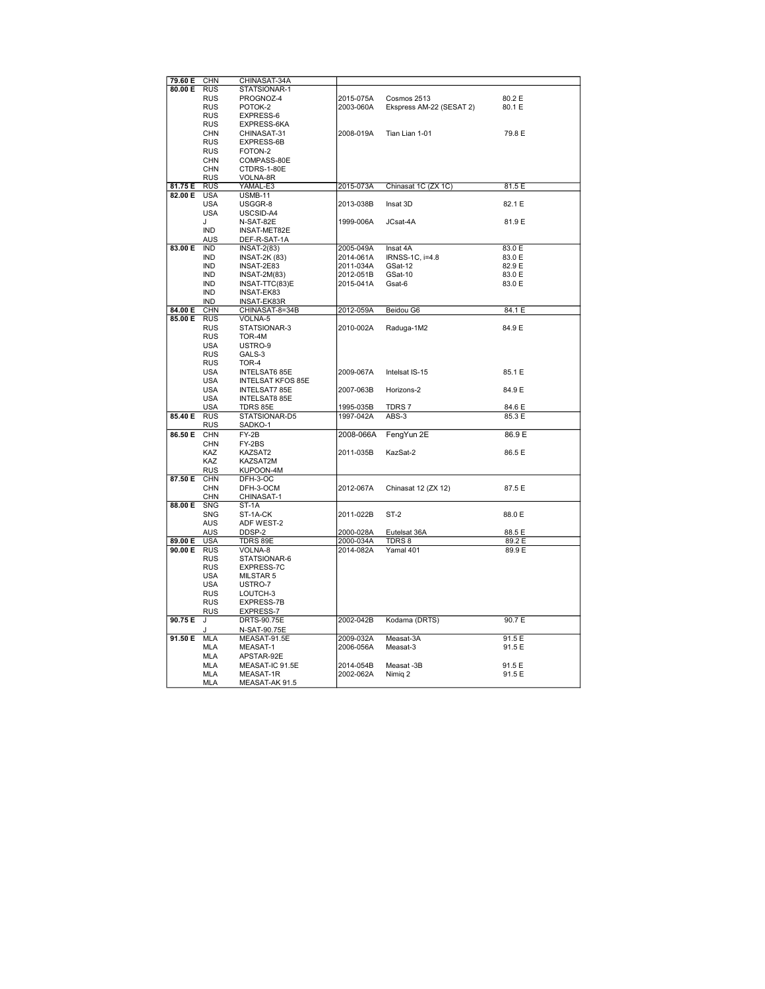| 79.60 E | <b>CHN</b> | CHINASAT-34A             |           |                          |        |
|---------|------------|--------------------------|-----------|--------------------------|--------|
| 80.00 E | <b>RUS</b> | STATSIONAR-1             |           |                          |        |
|         | RUS        | PROGNOZ-4                | 2015-075A | Cosmos 2513              | 80.2 E |
|         |            |                          |           |                          |        |
|         | <b>RUS</b> | POTOK-2                  | 2003-060A | Ekspress AM-22 (SESAT 2) | 80.1 E |
|         | <b>RUS</b> | EXPRESS-6                |           |                          |        |
|         | <b>RUS</b> | EXPRESS-6KA              |           |                          |        |
|         | <b>CHN</b> | CHINASAT-31              | 2008-019A | Tian Lian 1-01           | 79.8 E |
|         |            |                          |           |                          |        |
|         | <b>RUS</b> | EXPRESS-6B               |           |                          |        |
|         | <b>RUS</b> | FOTON-2                  |           |                          |        |
|         | <b>CHN</b> | COMPASS-80E              |           |                          |        |
|         | <b>CHN</b> | CTDRS-1-80E              |           |                          |        |
|         |            |                          |           |                          |        |
|         | <b>RUS</b> | VOLNA-8R                 |           |                          |        |
| 81.75 E | <b>RUS</b> | YAMAL-E3                 | 2015-073A | Chinasat 1C (ZX 1C)      | 81.5 E |
| 82.00 E | <b>USA</b> | <b>USMB-11</b>           |           |                          |        |
|         | <b>USA</b> | USGGR-8                  | 2013-038B | Insat 3D                 | 82.1 E |
|         | <b>USA</b> | USCSID-A4                |           |                          |        |
|         |            |                          |           |                          |        |
|         | J          | N-SAT-82E                | 1999-006A | JCsat-4A                 | 81.9 E |
|         | <b>IND</b> | <b>INSAT-MET82E</b>      |           |                          |        |
|         | <b>AUS</b> | DEF-R-SAT-1A             |           |                          |        |
| 83.00 E | <b>IND</b> | $INSAT-2(83)$            | 2005-049A | Insat 4A                 | 83.0 E |
|         | <b>IND</b> | <b>INSAT-2K (83)</b>     | 2014-061A | IRNSS-1C, i=4.8          | 83.0 E |
|         |            |                          |           |                          |        |
|         | <b>IND</b> | INSAT-2E83               | 2011-034A | GSat-12                  | 82.9 E |
|         | IND        | $INSAT-2M(83)$           | 2012-051B | GSat-10                  | 83.0 E |
|         | <b>IND</b> | INSAT-TTC(83)E           | 2015-041A | Gsat-6                   | 83.0 E |
|         | <b>IND</b> | INSAT-EK83               |           |                          |        |
|         | <b>IND</b> | INSAT-EK83R              |           |                          |        |
|         |            |                          |           |                          |        |
| 84.00 E | CHN        | CHINASAT-8=34B           | 2012-059A | Beidou G6                | 84.1 E |
| 85.00 E | <b>RUS</b> | VOLNA-5                  |           |                          |        |
|         | <b>RUS</b> | STATSIONAR-3             | 2010-002A | Raduga-1M2               | 84.9 E |
|         | <b>RUS</b> | TOR-4M                   |           |                          |        |
|         | <b>USA</b> | USTRO-9                  |           |                          |        |
|         |            |                          |           |                          |        |
|         | <b>RUS</b> | GALS-3                   |           |                          |        |
|         | <b>RUS</b> | TOR-4                    |           |                          |        |
|         | <b>USA</b> | <b>INTELSAT6 85E</b>     | 2009-067A | Intelsat IS-15           | 85.1 E |
|         | <b>USA</b> | <b>INTELSAT KFOS 85E</b> |           |                          |        |
|         |            |                          |           |                          |        |
|         | <b>USA</b> | <b>INTELSAT7 85E</b>     | 2007-063B | Horizons-2               | 84.9 E |
|         | <b>USA</b> | <b>INTELSAT8 85E</b>     |           |                          |        |
|         | <b>USA</b> | TDRS 85E                 | 1995-035B | TDRS 7                   | 84.6 E |
| 85.40 E | <b>RUS</b> | STATSIONAR-D5            | 1997-042A | ABS-3                    | 85.3 E |
|         | RUS        | SADKO-1                  |           |                          |        |
|         |            |                          |           |                          |        |
| 86.50 E | <b>CHN</b> | FY-2B                    | 2008-066A | FengYun 2E               | 86.9 E |
|         | <b>CHN</b> | FY-2BS                   |           |                          |        |
|         | KAZ        | KAZSAT2                  | 2011-035B | KazSat-2                 | 86.5 E |
|         | KAZ        | KAZSAT2M                 |           |                          |        |
|         |            |                          |           |                          |        |
|         | <b>RUS</b> | KUPOON-4M                |           |                          |        |
| 87.50 E | <b>CHN</b> | DFH-3-OC                 |           |                          |        |
|         | CHN        | DFH-3-OCM                | 2012-067A | Chinasat 12 (ZX 12)      | 87.5 E |
|         | <b>CHN</b> | CHINASAT-1               |           |                          |        |
| 88.00 E | <b>SNG</b> | ST-1A                    |           |                          |        |
|         | SNG        | ST-1A-CK                 | 2011-022B | ST-2                     | 88.0 E |
|         |            |                          |           |                          |        |
|         | AUS        | ADF WEST-2               |           |                          |        |
|         | <b>AUS</b> | DDSP-2                   | 2000-028A | Eutelsat 36A             | 88.5 E |
| 89.00 E | <b>USA</b> | <b>TDRS 89E</b>          | 2000-034A | TDRS8                    | 89.2 E |
| 90.00 E | <b>RUS</b> | VOLNA-8                  | 2014-082A | Yamal 401                | 89.9 E |
|         | <b>RUS</b> | STATSIONAR-6             |           |                          |        |
|         | <b>RUS</b> |                          |           |                          |        |
|         |            | <b>EXPRESS-7C</b>        |           |                          |        |
|         | <b>USA</b> | MILSTAR 5                |           |                          |        |
|         | USA        | USTRO-7                  |           |                          |        |
|         | <b>RUS</b> | LOUTCH-3                 |           |                          |        |
|         | <b>RUS</b> | EXPRESS-7B               |           |                          |        |
|         |            |                          |           |                          |        |
|         | RUS        | EXPRESS-7                |           |                          |        |
| 90.75 E | J          | DRTS-90.75E              | 2002-042B | Kodama (DRTS)            | 90.7 E |
|         | J          | N-SAT-90.75E             |           |                          |        |
| 91.50 E | MLA        | MEASAT-91.5E             | 2009-032A | Measat-3A                | 91.5 E |
|         | <b>MLA</b> | MEASAT-1                 |           | Measat-3                 | 91.5 E |
|         |            |                          | 2006-056A |                          |        |
|         | MLA        | APSTAR-92E               |           |                          |        |
|         | MLA        | MEASAT-IC 91.5E          | 2014-054B | Measat -3B               | 91.5 E |
|         | <b>MLA</b> | MEASAT-1R                | 2002-062A | Nimig 2                  | 91.5 E |
|         | MLA        | MEASAT-AK 91.5           |           |                          |        |
|         |            |                          |           |                          |        |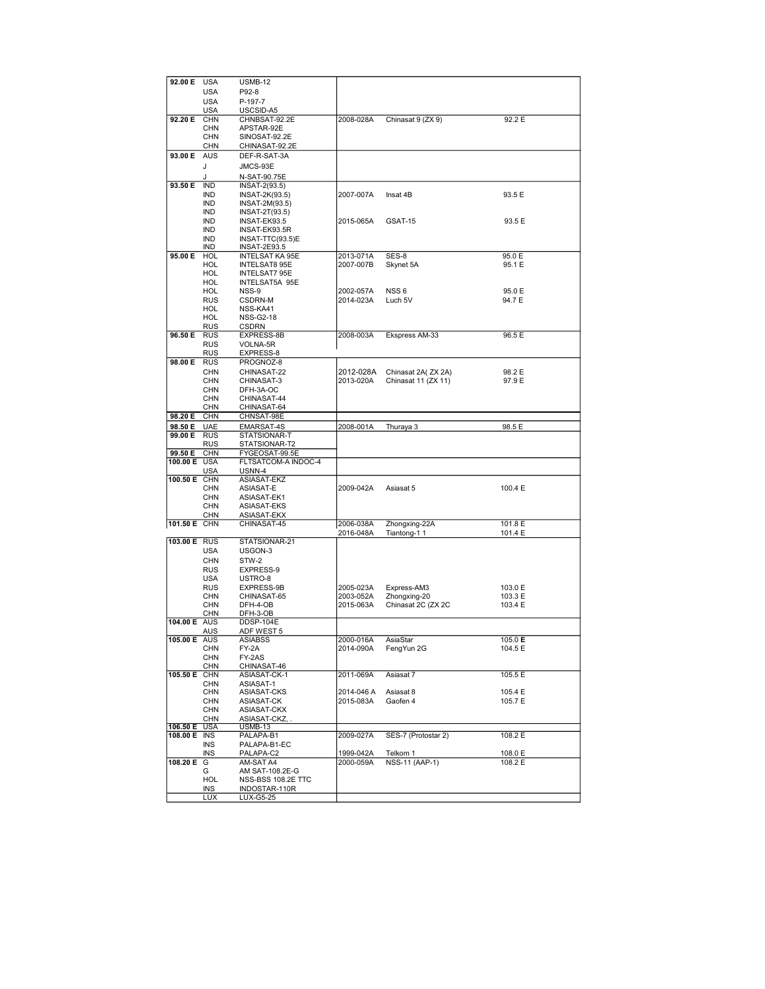| 92.00 E      | <b>USA</b>        | <b>USMB-12</b>             |            |                       |                      |  |
|--------------|-------------------|----------------------------|------------|-----------------------|----------------------|--|
|              | USA               | P92-8                      |            |                       |                      |  |
|              |                   |                            |            |                       |                      |  |
|              | <b>USA</b>        | P-197-7                    |            |                       |                      |  |
|              | <b>USA</b>        | USCSID-A5                  |            |                       |                      |  |
| 92.20 E      | <b>CHN</b>        | CHNBSAT-92.2E              | 2008-028A  | Chinasat 9 (ZX 9)     | 92.2 E               |  |
|              | <b>CHN</b>        | APSTAR-92E                 |            |                       |                      |  |
|              | <b>CHN</b>        | SINOSAT-92.2E              |            |                       |                      |  |
|              | <b>CHN</b>        | CHINASAT-92.2E             |            |                       |                      |  |
|              |                   |                            |            |                       |                      |  |
| 93.00 E AUS  |                   | DEF-R-SAT-3A               |            |                       |                      |  |
|              | J                 | JMCS-93E                   |            |                       |                      |  |
|              |                   |                            |            |                       |                      |  |
|              | J                 | N-SAT-90.75E               |            |                       |                      |  |
| 93.50 E      | <b>IND</b>        | INSAT-2(93.5)              |            |                       |                      |  |
|              | <b>IND</b>        | INSAT-2K(93.5)             | 2007-007A  | Insat 4B              | 93.5 E               |  |
|              | <b>IND</b>        | INSAT-2M(93.5)             |            |                       |                      |  |
|              | <b>IND</b>        | INSAT-2T(93.5)             |            |                       |                      |  |
|              | IND               | INSAT-EK93.5               | 2015-065A  | GSAT-15               | 93.5 E               |  |
|              |                   |                            |            |                       |                      |  |
|              | IND               | INSAT-EK93.5R              |            |                       |                      |  |
|              | IND               | INSAT-TTC(93.5)E           |            |                       |                      |  |
|              | IND               | <b>INSAT-2E93.5</b>        |            |                       |                      |  |
| 95.00 E      | HOL               | <b>INTELSAT KA 95E</b>     | 2013-071A  | SES-8                 | 95.0 E               |  |
|              | HOL               | INTELSAT8 95E              | 2007-007B  | Skynet 5A             | 95.1 E               |  |
|              | HOL               | INTELSAT7 95E              |            |                       |                      |  |
|              | <b>HOL</b>        | INTELSAT5A 95E             |            |                       |                      |  |
|              | <b>HOL</b>        |                            |            | NSS <sub>6</sub>      |                      |  |
|              |                   | NSS-9                      | 2002-057A  |                       | 95.0 E               |  |
|              | <b>RUS</b>        | CSDRN-M                    | 2014-023A  | Luch 5V               | 94.7 E               |  |
|              | HOL               | NSS-KA41                   |            |                       |                      |  |
|              | <b>HOL</b>        | <b>NSS-G2-18</b>           |            |                       |                      |  |
|              | <b>RUS</b>        | CSDRN                      |            |                       |                      |  |
| 96.50 E      | <b>RUS</b>        | EXPRESS-8B                 | 2008-003A  | Ekspress AM-33        | 96.5 E               |  |
|              | <b>RUS</b>        | VOLNA-5R                   |            |                       |                      |  |
|              |                   |                            |            |                       |                      |  |
|              | <b>RUS</b>        | EXPRESS-8                  |            |                       |                      |  |
| 98.00 E      | <b>RUS</b>        | PROGNOZ-8                  |            |                       |                      |  |
|              | <b>CHN</b>        | CHINASAT-22                | 2012-028A  | Chinasat 2A( ZX 2A)   | 98.2 E               |  |
|              | <b>CHN</b>        | CHINASAT-3                 | 2013-020A  | Chinasat 11 (ZX 11)   | 97.9 E               |  |
|              | CHN               | DFH-3A-OC                  |            |                       |                      |  |
|              | <b>CHN</b>        | CHINASAT-44                |            |                       |                      |  |
|              |                   |                            |            |                       |                      |  |
|              | CHN               | CHINASAT-64                |            |                       |                      |  |
| 98.20 E      | <b>CHN</b>        | CHNSAT-98E                 |            |                       |                      |  |
| 98.50 E      | <b>UAE</b>        | <b>EMARSAT-4S</b>          | 2008-001A  | Thuraya 3             | 98.5 E               |  |
| 99.00 E      | <b>RUS</b>        | STATSIONAR-T               |            |                       |                      |  |
|              | <b>RUS</b>        | STATSIONAR-T2              |            |                       |                      |  |
| 99.50 E      | <b>CHN</b>        | FYGEOSAT-99.5E             |            |                       |                      |  |
| 100.00 E USA |                   | FLTSATCOM-A INDOC-4        |            |                       |                      |  |
|              | <b>USA</b>        | USNN-4                     |            |                       |                      |  |
| 100.50 E CHN |                   | ASIASAT-EKZ                |            |                       |                      |  |
|              | <b>CHN</b>        |                            | 2009-042A  | Asiasat 5             | 100.4 E              |  |
|              |                   |                            |            |                       |                      |  |
|              |                   | ASIASAT-E                  |            |                       |                      |  |
|              | <b>CHN</b>        | ASIASAT-EK1                |            |                       |                      |  |
|              | <b>CHN</b>        | ASIASAT-EKS                |            |                       |                      |  |
|              | <b>CHN</b>        | ASIASAT-EKX                |            |                       |                      |  |
| 101.50 E CHN |                   | CHINASAT-45                | 2006-038A  | Zhongxing-22A         | 101.8 E              |  |
|              |                   |                            | 2016-048A  | Tiantong-11           | 101.4 E              |  |
| 103.00 E RUS |                   | STATSIONAR-21              |            |                       |                      |  |
|              | <b>USA</b>        | USGON-3                    |            |                       |                      |  |
|              |                   |                            |            |                       |                      |  |
|              | <b>CHN</b>        | STW-2                      |            |                       |                      |  |
|              | <b>RUS</b>        | EXPRESS-9                  |            |                       |                      |  |
|              | USA               | USTRO-8                    |            |                       |                      |  |
|              | <b>RUS</b>        | EXPRESS-9B                 | 2005-023A  | Express-AM3           | 103.0 E              |  |
|              | <b>CHN</b>        | CHINASAT-65                | 2003-052A  | Zhongxing-20          | 103.3 E              |  |
|              | <b>CHN</b>        | DFH-4-OB                   | 2015-063A  | Chinasat 2C (ZX 2C    | 103.4 E              |  |
|              | <b>CHN</b>        | DFH-3-OB                   |            |                       |                      |  |
| 104.00 E AUS |                   | DDSP-104E                  |            |                       |                      |  |
|              |                   |                            |            |                       |                      |  |
|              | AUS               | <u>ADF WEST 5</u>          |            |                       |                      |  |
| 105.00 E AUS |                   | ASIABSS                    | 2000-016A  | AsiaStar              | 105.0 E              |  |
|              | <b>CHN</b>        | FY-2A                      | 2014-090A  | FengYun 2G            | 104.5 E              |  |
|              | <b>CHN</b>        | FY-2AS                     |            |                       |                      |  |
|              | <b>CHN</b>        | CHINASAT-46                |            |                       |                      |  |
| 105.50 E     | <b>CHN</b>        | ASIASAT-CK-1               | 2011-069A  | Asiasat 7             | 105.5 E              |  |
|              |                   |                            |            |                       |                      |  |
|              | CHN               | ASIASAT-1                  |            |                       |                      |  |
|              | <b>CHN</b>        | ASIASAT-CKS                | 2014-046 A | Asiasat 8             | 105.4 E              |  |
|              | <b>CHN</b>        | ASIASAT-CK                 | 2015-083A  | Gaofen 4              | 105.7 E              |  |
|              | <b>CHN</b>        | ASIASAT-CKX                |            |                       |                      |  |
|              | <b>CHN</b>        | ASIASAT-CKZ,               |            |                       |                      |  |
| 106.50 E     | USA               | USMB-13                    |            |                       |                      |  |
| 108.00 E     | <b>INS</b>        | PALAPA-B1                  | 2009-027A  | SES-7 (Protostar 2)   | $108.2 \overline{E}$ |  |
|              | <b>INS</b>        | PALAPA-B1-EC               |            |                       |                      |  |
|              | INS               | PALAPA-C2                  | 1999-042A  | Telkom 1              | 108.0 E              |  |
|              |                   |                            |            |                       |                      |  |
| 108.20 E     | G                 | AM-SAT A4                  | 2000-059A  | <b>NSS-11 (AAP-1)</b> | 108.2 E              |  |
|              | G                 | AM SAT-108.2E-G            |            |                       |                      |  |
|              | HOL               | NSS-BSS 108.2E TTC         |            |                       |                      |  |
|              | INS<br><b>LUX</b> | INDOSTAR-110R<br>LUX-G5-25 |            |                       |                      |  |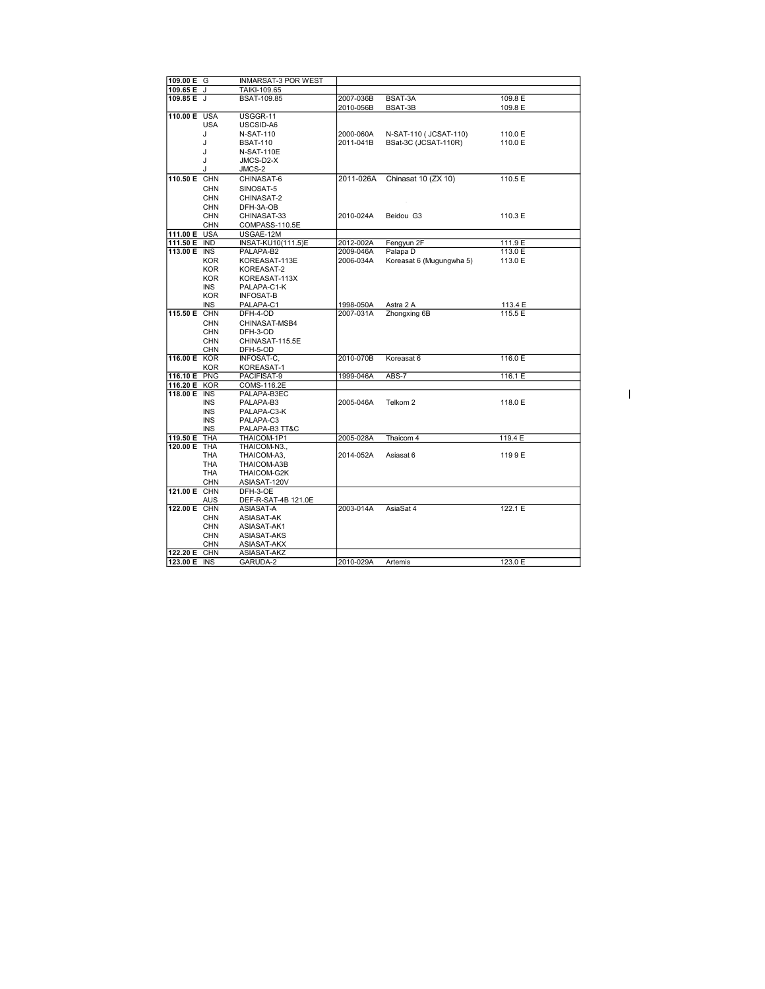| 109.00 E G   |                          | <b>INMARSAT-3 POR WEST</b>  |           |                          |         |
|--------------|--------------------------|-----------------------------|-----------|--------------------------|---------|
| 109.65 E J   |                          | TAIKI-109.65                |           |                          |         |
| 109.85 E J   |                          | <b>BSAT-109.85</b>          | 2007-036B | BSAT-3A                  | 109.8 E |
|              |                          |                             | 2010-056B | BSAT-3B                  | 109.8 E |
| 110.00 E USA |                          | USGGR-11                    |           |                          |         |
|              | <b>USA</b>               | USCSID-A6                   |           |                          |         |
|              | J                        | <b>N-SAT-110</b>            | 2000-060A | N-SAT-110 ( JCSAT-110)   | 110.0 E |
|              | J                        | <b>BSAT-110</b>             | 2011-041B | BSat-3C (JCSAT-110R)     | 110.0 E |
|              | J                        | <b>N-SAT-110E</b>           |           |                          |         |
|              | J                        | JMCS-D2-X                   |           |                          |         |
|              | J                        | JMCS-2                      |           |                          |         |
| 110.50 E CHN |                          | CHINASAT-6                  | 2011-026A | Chinasat 10 (ZX 10)      | 110.5 E |
|              | <b>CHN</b>               | SINOSAT-5                   |           |                          |         |
|              | <b>CHN</b>               | CHINASAT-2                  |           |                          |         |
|              | <b>CHN</b>               | DFH-3A-OB                   |           |                          |         |
|              | <b>CHN</b>               | CHINASAT-33                 | 2010-024A | Beidou G3                | 110.3 E |
|              | <b>CHN</b>               | COMPASS-110.5E              |           |                          |         |
| 111.00 E USA |                          | USGAE-12M                   |           |                          |         |
| 111.50 E IND |                          | INSAT-KU10(111.5)E          | 2012-002A | Fengyun 2F               | 111.9 E |
| 113.00 E INS |                          | PALAPA-B2                   | 2009-046A | Palapa D                 | 113.0 E |
|              | <b>KOR</b>               | KOREASAT-113E               | 2006-034A | Koreasat 6 (Mugungwha 5) | 113.0 E |
|              | <b>KOR</b>               | KOREASAT-2                  |           |                          |         |
|              | <b>KOR</b>               | KOREASAT-113X               |           |                          |         |
|              | <b>INS</b>               | PALAPA-C1-K                 |           |                          |         |
|              | <b>KOR</b>               | <b>INFOSAT-B</b>            |           |                          |         |
|              | <b>INS</b>               | PALAPA-C1                   | 1998-050A | Astra 2 A                | 113.4 E |
| 115.50 E CHN |                          | DFH-4-OD                    | 2007-031A | Zhongxing 6B             | 115.5 E |
|              | <b>CHN</b>               | CHINASAT-MSB4               |           |                          |         |
|              |                          |                             |           |                          |         |
|              | <b>CHN</b><br><b>CHN</b> | DFH-3-OD<br>CHINASAT-115.5E |           |                          |         |
|              | <b>CHN</b>               | DFH-5-OD                    |           |                          |         |
| 116.00 E KOR |                          | INFOSAT-C,                  | 2010-070B | Koreasat 6               | 116.0 E |
|              | <b>KOR</b>               | KOREASAT-1                  |           |                          |         |
| 116.10 E PNG |                          | PACIFISAT-9                 | 1999-046A | ABS-7                    | 116.1 E |
| 116.20 E KOR |                          | COMS-116.2E                 |           |                          |         |
| 118.00 E INS |                          | PALAPA-B3EC                 |           |                          |         |
|              | <b>INS</b>               | PALAPA-B3                   | 2005-046A | Telkom 2                 | 118.0 E |
|              | <b>INS</b>               | PALAPA-C3-K                 |           |                          |         |
|              | <b>INS</b>               | PALAPA-C3                   |           |                          |         |
|              | <b>INS</b>               | PALAPA-B3 TT&C              |           |                          |         |
| 119.50 E     | <b>THA</b>               | THAICOM-1P1                 | 2005-028A | Thaicom 4                | 119.4 E |
| 120.00 E THA |                          | THAICOM-N3                  |           |                          |         |
|              | <b>THA</b>               |                             | 2014-052A | Asiasat 6                |         |
|              | <b>THA</b>               | THAICOM-A3,<br>THAICOM-A3B  |           |                          | 1199E   |
|              | THA                      | THAICOM-G2K                 |           |                          |         |
|              |                          |                             |           |                          |         |
| 121.00 E CHN | <b>CHN</b>               | ASIASAT-120V                |           |                          |         |
|              |                          | DFH-3-OE                    |           |                          |         |
| 122.00 E CHN | <b>AUS</b>               | DEF-R-SAT-4B 121.0E         | 2003-014A | AsiaSat 4                |         |
|              |                          | ASIASAT-A                   |           |                          | 122.1 E |
|              | <b>CHN</b>               | ASIASAT-AK                  |           |                          |         |
|              | <b>CHN</b>               | ASIASAT-AK1                 |           |                          |         |
|              | <b>CHN</b>               | ASIASAT-AKS                 |           |                          |         |
|              | <b>CHN</b>               | ASIASAT-AKX                 |           |                          |         |
| 122.20 E CHN |                          | ASIASAT-AKZ                 |           |                          |         |
| 123.00 E INS |                          | GARUDA-2                    | 2010-029A | Artemis                  | 123.0 E |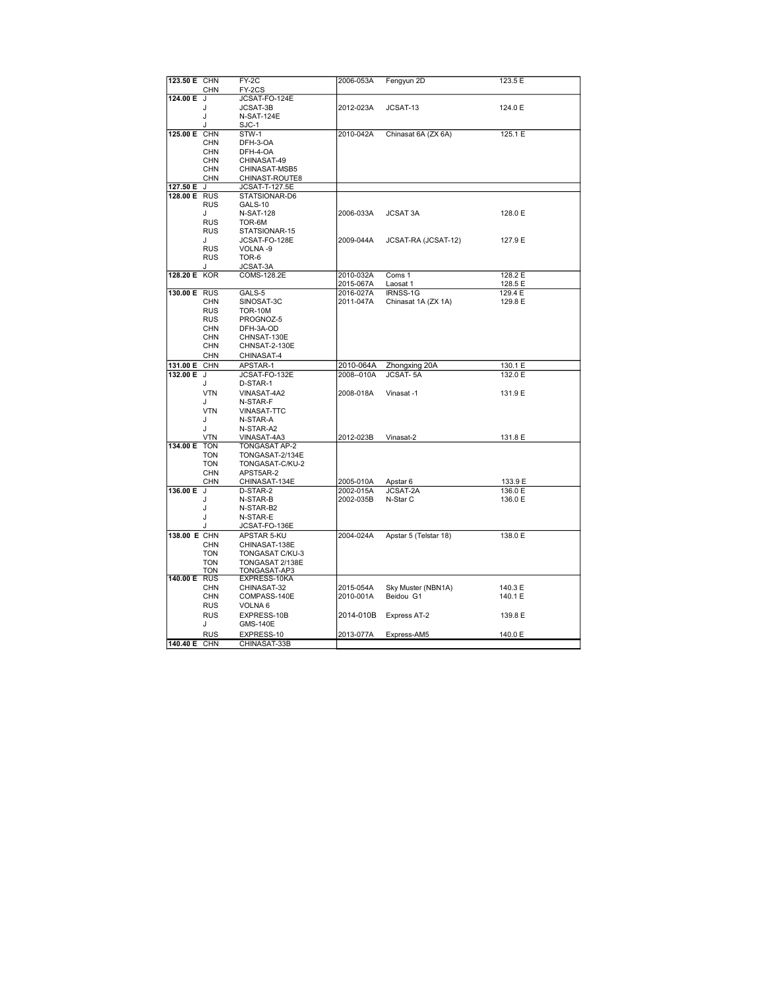| 123.50 E CHN | <b>CHN</b>               | FY-2C<br>FY-2CS         | 2006-053A  | Fengyun 2D            | 123.5 E |  |
|--------------|--------------------------|-------------------------|------------|-----------------------|---------|--|
| 124.00 E     | J                        | JCSAT-FO-124E           |            |                       |         |  |
|              | J                        | <b>JCSAT-3B</b>         | 2012-023A  | JCSAT-13              | 124.0 E |  |
|              | J                        | <b>N-SAT-124E</b>       |            |                       |         |  |
|              | ۱.                       | SJC-1                   |            |                       |         |  |
| 125.00 E     | <b>CHN</b>               | STW-1                   | 2010-042A  |                       | 125.1 E |  |
|              | <b>CHN</b>               |                         |            | Chinasat 6A (ZX 6A)   |         |  |
|              |                          | DFH-3-OA                |            |                       |         |  |
|              | <b>CHN</b><br><b>CHN</b> | DFH-4-OA<br>CHINASAT-49 |            |                       |         |  |
|              | <b>CHN</b>               | CHINASAT-MSB5           |            |                       |         |  |
|              |                          |                         |            |                       |         |  |
|              | <b>CHN</b>               | CHINAST-ROUTE8          |            |                       |         |  |
| 127.50 E     | J                        | JCSAT-T-127.5E          |            |                       |         |  |
| 128.00 E RUS |                          | STATSIONAR-D6           |            |                       |         |  |
|              | <b>RUS</b>               | GALS-10                 |            |                       |         |  |
|              | J                        | <b>N-SAT-128</b>        | 2006-033A  | <b>JCSAT 3A</b>       | 128.0 E |  |
|              | <b>RUS</b>               | TOR-6M                  |            |                       |         |  |
|              | <b>RUS</b>               | STATSIONAR-15           |            |                       |         |  |
|              | J                        | JCSAT-FO-128E           | 2009-044A  | JCSAT-RA (JCSAT-12)   | 127.9 E |  |
|              | <b>RUS</b>               | VOLNA-9                 |            |                       |         |  |
|              | <b>RUS</b>               | TOR-6                   |            |                       |         |  |
|              | J.                       | JCSAT-3A                |            |                       |         |  |
| 128.20 E KOR |                          | COMS-128.2E             | 2010-032A  | Coms 1                | 128.2 E |  |
|              |                          | GALS-5                  | 2015-067A  | Laosat 1<br>IRNSS-1G  | 128.5 E |  |
| 130.00 E RUS |                          |                         | 2016-027A  |                       | 129.4 E |  |
|              | <b>CHN</b>               | SINOSAT-3C              | 2011-047A  | Chinasat 1A (ZX 1A)   | 129.8 E |  |
|              | <b>RUS</b>               | <b>TOR-10M</b>          |            |                       |         |  |
|              | <b>RUS</b>               | PROGNOZ-5               |            |                       |         |  |
|              | <b>CHN</b>               | DFH-3A-OD               |            |                       |         |  |
|              | <b>CHN</b>               | CHNSAT-130E             |            |                       |         |  |
|              | <b>CHN</b>               | CHNSAT-2-130E           |            |                       |         |  |
|              | <b>CHN</b>               | CHINASAT-4              |            |                       |         |  |
| 131.00 E     | <b>CHN</b>               | APSTAR-1                | 2010-064A  | Zhongxing 20A         | 130.1 E |  |
| 132.00 E J   |                          | JCSAT-FO-132E           | 2008--010A | <b>JCSAT-5A</b>       | 132.0 E |  |
|              | Л.                       | D-STAR-1                |            |                       |         |  |
|              | <b>VTN</b>               | VINASAT-4A2             | 2008-018A  | Vinasat -1            | 131.9 E |  |
|              | J                        | N-STAR-F                |            |                       |         |  |
|              | <b>VTN</b>               | <b>VINASAT-TTC</b>      |            |                       |         |  |
|              | J                        | N-STAR-A                |            |                       |         |  |
|              | Л.                       | N-STAR-A2               |            |                       |         |  |
|              | <b>VTN</b>               | VINASAT-4A3             | 2012-023B  | Vinasat-2             | 131.8 E |  |
| 134.00 E     | <b>TON</b>               | TONGASAT AP-2           |            |                       |         |  |
|              | <b>TON</b>               | TONGASAT-2/134E         |            |                       |         |  |
|              | <b>TON</b>               | TONGASAT-C/KU-2         |            |                       |         |  |
|              | CHN                      | APST5AR-2               |            |                       |         |  |
|              | CHN                      | CHINASAT-134E           | 2005-010A  | Apstar 6              | 133.9 E |  |
| 136.00 E     | J                        | D-STAR-2                | 2002-015A  | JCSAT-2A              | 136.0 E |  |
|              | J                        | N-STAR-B                | 2002-035B  | N-Star C              | 136.0 E |  |
|              | J                        | N-STAR-B2               |            |                       |         |  |
|              | J                        | N-STAR-E                |            |                       |         |  |
|              | J                        | JCSAT-FO-136E           |            |                       |         |  |
| 138.00 E CHN |                          | APSTAR 5-KU             | 2004-024A  | Apstar 5 (Telstar 18) | 138.0 E |  |
|              | <b>CHN</b>               | CHINASAT-138E           |            |                       |         |  |
|              | <b>TON</b>               | TONGASAT C/KU-3         |            |                       |         |  |
|              |                          |                         |            |                       |         |  |
|              | <b>TON</b>               | TONGASAT 2/138E         |            |                       |         |  |
|              | <b>TON</b>               | TONGASAT-AP3            |            |                       |         |  |
| 140.00 E     | <b>RUS</b>               | EXPRESS-10KA            |            |                       |         |  |
|              | <b>CHN</b>               | CHINASAT-32             | 2015-054A  | Sky Muster (NBN1A)    | 140.3 E |  |
|              | <b>CHN</b>               | COMPASS-140E            | 2010-001A  | Beidou G1             | 140.1 E |  |
|              | <b>RUS</b>               | VOLNA 6                 |            |                       |         |  |
|              | <b>RUS</b>               | EXPRESS-10B             | 2014-010B  | Express AT-2          | 139.8 E |  |
|              | J                        | GMS-140E                |            |                       |         |  |
|              | <b>RUS</b>               | EXPRESS-10              | 2013-077A  | Express-AM5           | 140.0 E |  |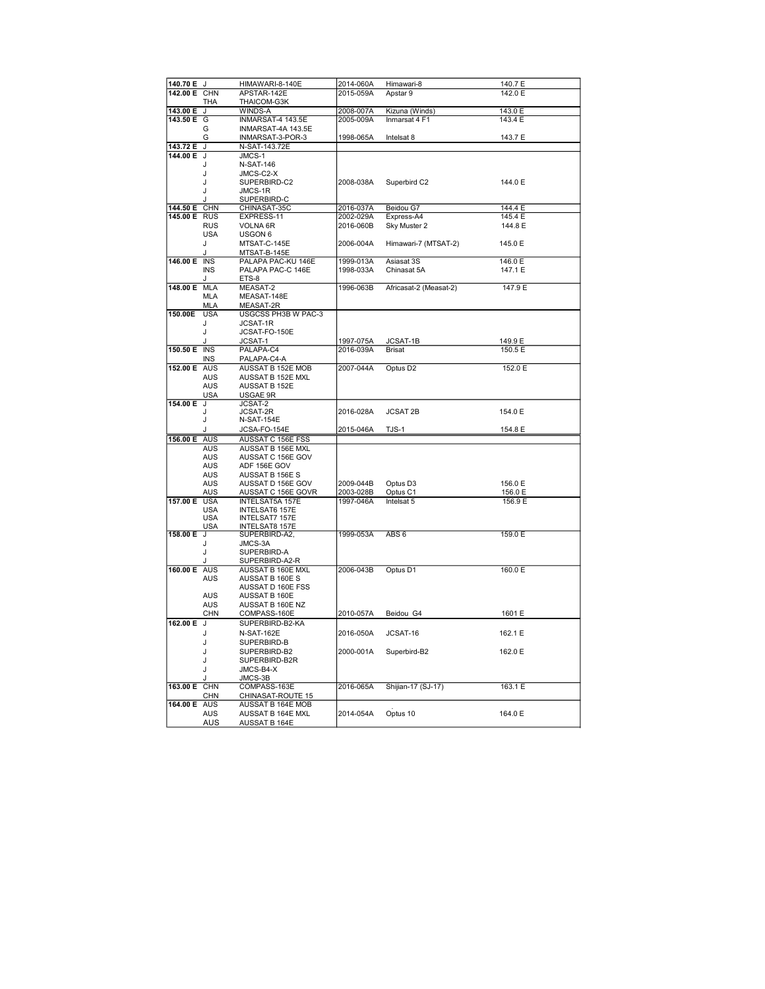|              | 140.70 E J              | HIMAWARI-8-140E                    | 2014-060A | Himawari-8             | 140.7 E |
|--------------|-------------------------|------------------------------------|-----------|------------------------|---------|
| 142.00 E CHN |                         | APSTAR-142E                        | 2015-059A | Apstar 9               | 142.0 E |
|              | THA                     | THAICOM-G3K                        |           |                        |         |
| 143.00 E     | J                       | WINDS-A                            | 2008-007A | Kizuna (Winds)         | 143.0 E |
| 143.50 E     | G                       | INMARSAT-4 143.5E                  | 2005-009A | Inmarsat 4 F1          | 143.4 E |
|              | G                       | INMARSAT-4A 143.5E                 |           |                        |         |
|              | G                       | INMARSAT-3-POR-3                   | 1998-065A | Intelsat 8             | 143.7 E |
| 143.72 E     | J                       | N-SAT-143.72E                      |           |                        |         |
| 144.00 E     | J                       | JMCS-1                             |           |                        |         |
|              | J                       | <b>N-SAT-146</b>                   |           |                        |         |
|              | J                       | JMCS-C2-X                          | 2008-038A |                        | 144.0 E |
|              | J                       | SUPERBIRD-C2                       |           | Superbird C2           |         |
|              | J<br>J                  | JMCS-1R<br>SUPERBIRD-C             |           |                        |         |
| 144.50 E     | <b>CHN</b>              | CHINASAT-35C                       | 2016-037A | Beidou G7              | 144.4 E |
| 145.00 E     | <b>RUS</b>              | EXPRESS-11                         | 2002-029A | Express-A4             | 145.4 E |
|              | <b>RUS</b>              | VOLNA 6R                           | 2016-060B | Sky Muster 2           | 144.8 E |
|              | <b>USA</b>              | USGON 6                            |           |                        |         |
|              | J                       | MTSAT-C-145E                       | 2006-004A | Himawari-7 (MTSAT-2)   | 145.0 E |
|              | J                       | MTSAT-B-145E                       |           |                        |         |
| 146.00 E INS |                         | PALAPA PAC-KU 146E                 | 1999-013A | Asiasat 3S             | 146.0 E |
|              | <b>INS</b>              | PALAPA PAC-C 146E                  | 1998-033A | Chinasat 5A            | 147.1 E |
|              | J                       | ETS-8                              |           |                        |         |
| 148.00 E     | <b>MLA</b>              | MEASAT-2                           | 1996-063B | Africasat-2 (Measat-2) | 147.9 E |
|              | <b>MLA</b>              | MEASAT-148E                        |           |                        |         |
|              | <b>MLA</b>              | MEASAT-2R                          |           |                        |         |
| 150.00E      | <b>USA</b>              | USGCSS PH3B W PAC-3                |           |                        |         |
|              | J                       | JCSAT-1R                           |           |                        |         |
|              | J                       | JCSAT-FO-150E                      |           |                        |         |
|              | . I                     | JCSAT-1                            | 1997-075A | JCSAT-1B               | 149.9 E |
| 150.50 E     | $\overline{\text{INS}}$ | PALAPA-C4                          | 2016-039A | <b>Brisat</b>          | 150.5 E |
|              | <b>INS</b>              | PALAPA-C4-A                        |           |                        |         |
| 152.00 E AUS |                         | AUSSAT B 152E MOB                  | 2007-044A | Optus D <sub>2</sub>   | 152.0 E |
|              | <b>AUS</b>              | AUSSAT B 152E MXL                  |           |                        |         |
|              | <b>AUS</b>              | <b>AUSSAT B 152E</b>               |           |                        |         |
| 154.00 E     | USA<br>J                | USGAE 9R<br>JCSAT-2                |           |                        |         |
|              |                         | JCSAT-2R                           | 2016-028A | <b>JCSAT 2B</b>        | 154.0 E |
|              | J                       | <b>N-SAT-154E</b>                  |           |                        |         |
|              | J                       | JCSA-FO-154E                       | 2015-046A | TJS-1                  | 154.8 E |
| 156.00 E     | AUS                     | AUSSAT C 156E FSS                  |           |                        |         |
|              |                         |                                    |           |                        |         |
|              | <b>AUS</b>              | AUSSAT B 156E MXL                  |           |                        |         |
|              | AUS                     | AUSSAT C 156E GOV                  |           |                        |         |
|              | AUS                     | ADF 156E GOV                       |           |                        |         |
|              | <b>AUS</b>              | AUSSAT B 156E S                    |           |                        |         |
|              | AUS                     | AUSSAT D 156E GOV                  | 2009-044B | Optus D <sub>3</sub>   | 156.0 E |
|              | <b>AUS</b>              | AUSSAT C 156E GOVR                 | 2003-028B | Optus C1               | 156.0 E |
| 157.00 E     | <b>USA</b>              | <b>INTELSAT5A 157E</b>             | 1997-046A | Intelsat 5             | 156.9 E |
|              | <b>USA</b>              | <b>INTELSAT6 157E</b>              |           |                        |         |
|              | <b>USA</b>              | INTELSAT7 157E                     |           |                        |         |
|              | USA<br>J                | <b>INTELSAT8 157E</b>              |           |                        |         |
| 158.00 E     |                         | SUPERBIRD-A2,                      | 1999-053A | ABS <sub>6</sub>       | 159.0 E |
|              | J<br>J                  | JMCS-3A<br>SUPERBIRD-A             |           |                        |         |
|              | J                       | SUPERBIRD-A2-R                     |           |                        |         |
| 160.00 E AUS |                         | AUSSAT B 160E MXL                  | 2006-043B | Optus D1               | 160.0 E |
|              | <b>AUS</b>              | AUSSAT B 160E S                    |           |                        |         |
|              |                         | AUSSAT D 160E FSS                  |           |                        |         |
|              | AUS                     | AUSSAT B 160E                      |           |                        |         |
|              | AUS                     | AUSSAT B 160E NZ                   |           |                        |         |
|              | CHN                     | COMPASS-160E                       | 2010-057A | Beidou G4              | 1601 E  |
| 162.00 E     | J                       | SUPERBIRD-B2-KA                    |           |                        |         |
|              | J                       | N-SAT-162E                         | 2016-050A | JCSAT-16               | 162.1 E |
|              | J                       | SUPERBIRD-B                        |           |                        |         |
|              | J                       | SUPERBIRD-B2                       | 2000-001A | Superbird-B2           | 162.0 E |
|              | J                       | SUPERBIRD-B2R                      |           |                        |         |
|              | J                       | JMCS-B4-X                          |           |                        |         |
|              | J                       | JMCS-3B                            |           |                        |         |
| 163.00 E     | <b>CHN</b>              | COMPASS-163E                       | 2016-065A | Shijian-17 (SJ-17)     | 163.1 E |
|              | CHN                     | CHINASAT-ROUTE 15                  |           |                        |         |
| 164.00 E AUS |                         | AUSSAT B 164E MOB                  |           |                        |         |
|              | <b>AUS</b><br>AUS       | AUSSAT B 164E MXL<br>AUSSAT B 164E | 2014-054A | Optus 10               | 164.0 E |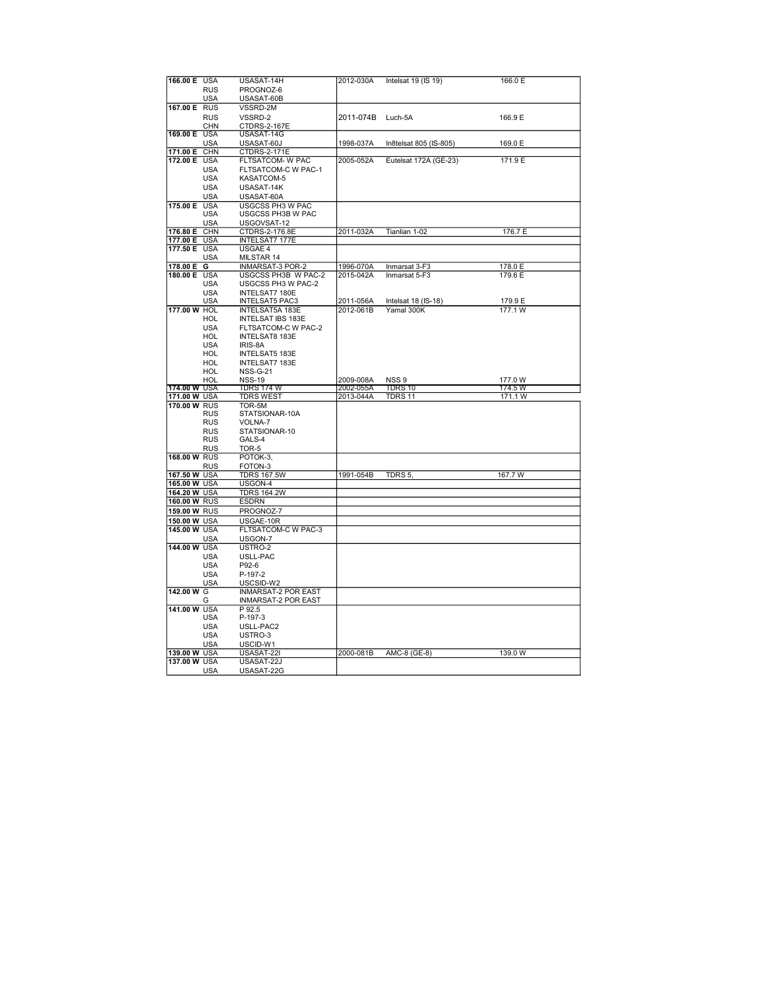| 166.00 E USA        |            | USASAT-14H                 | 2012-030A | Intelsat 19 (IS 19)    | 166.0 E |
|---------------------|------------|----------------------------|-----------|------------------------|---------|
|                     | <b>RUS</b> | PROGNOZ-6                  |           |                        |         |
|                     | USA        | USASAT-60B                 |           |                        |         |
| 167.00 E RUS        |            | VSSRD-2M                   |           |                        |         |
|                     |            |                            |           |                        |         |
|                     | <b>RUS</b> | VSSRD-2                    | 2011-074B | Luch-5A                | 166.9 E |
|                     | <b>CHN</b> | <b>CTDRS-2-167E</b>        |           |                        |         |
| 169.00 E USA        |            | USASAT-14G                 |           |                        |         |
|                     | <b>USA</b> | USASAT-60J                 | 1998-037A | In8telsat 805 (IS-805) | 169.0 E |
| 171.00 E            | CHN        | CTDRS-2-171E               |           |                        |         |
| 172.00 E            | <b>USA</b> | FLTSATCOM- W PAC           | 2005-052A | Eutelsat 172A (GE-23)  | 171.9 E |
|                     | <b>USA</b> | <b>FLTSATCOM-C W PAC-1</b> |           |                        |         |
|                     | <b>USA</b> | KASATCOM-5                 |           |                        |         |
|                     | <b>USA</b> | USASAT-14K                 |           |                        |         |
|                     |            |                            |           |                        |         |
|                     | <b>USA</b> | USASAT-60A                 |           |                        |         |
| 175.00 E            | <b>USA</b> | <b>USGCSS PH3 W PAC</b>    |           |                        |         |
|                     | <b>USA</b> | USGCSS PH3B W PAC          |           |                        |         |
|                     | USA        | USGOVSAT-12                |           |                        |         |
| 176.80 E            | CHN        | CTDRS-2-176.8E             | 2011-032A | Tianlian 1-02          | 176.7 E |
| 177.00 E            | <b>USA</b> | <b>INTELSAT7 177E</b>      |           |                        |         |
| 177.50 E            | <b>USA</b> | USGAE 4                    |           |                        |         |
|                     | <b>USA</b> | MILSTAR 14                 |           |                        |         |
| 178.00 E            | G          | <b>INMARSAT-3 POR-2</b>    | 1996-070A | Inmarsat 3-F3          | 178.0 E |
|                     |            |                            |           |                        |         |
| 180.00 E USA        |            | USGCSS PH3B W PAC-2        | 2015-042A | Inmarsat 5-F3          | 179.6 E |
|                     | <b>USA</b> | USGCSS PH3 W PAC-2         |           |                        |         |
|                     | <b>USA</b> | INTELSAT7 180E             |           |                        |         |
|                     | <b>USA</b> | <b>INTELSAT5 PAC3</b>      | 2011-056A | Intelsat 18 (IS-18)    | 179.9 E |
| 177.00 W HOL        |            | <b>INTELSAT5A 183E</b>     | 2012-061B | Yamal 300K             | 177.1 W |
|                     | HOL        | <b>INTELSAT IBS 183E</b>   |           |                        |         |
|                     | <b>USA</b> | FLTSATCOM-C W PAC-2        |           |                        |         |
|                     | HOL        | <b>INTELSAT8 183E</b>      |           |                        |         |
|                     | USA        | IRIS-8A                    |           |                        |         |
|                     | HOL        | INTELSAT5 183E             |           |                        |         |
|                     | HOL        |                            |           |                        |         |
|                     |            | INTELSAT7 183E             |           |                        |         |
|                     | HOL        | <b>NSS-G-21</b>            |           |                        |         |
|                     |            |                            |           |                        |         |
|                     | HOL        | <b>NSS-19</b>              | 2009-008A | NSS <sub>9</sub>       | 177.0 W |
| <b>174.00 W USA</b> |            | TDRS 174 W                 | 2002-055A | TDRS 10                | 174.5 W |
| 171.00 W USA        |            | <b>TDRS WEST</b>           | 2013-044A | TDRS 11                | 171.1 W |
| 170.00 W RUS        |            | TOR-5M                     |           |                        |         |
|                     | <b>RUS</b> | STATSIONAR-10A             |           |                        |         |
|                     | <b>RUS</b> | VOLNA-7                    |           |                        |         |
|                     |            |                            |           |                        |         |
|                     | <b>RUS</b> | STATSIONAR-10              |           |                        |         |
|                     | <b>RUS</b> | GALS-4                     |           |                        |         |
|                     | <b>RUS</b> | TOR-5                      |           |                        |         |
| 168.00 W RUS        |            | POTOK-3,                   |           |                        |         |
|                     | RUS        | FOTON-3                    |           |                        |         |
| 167.50 W USA        |            | <b>TDRS 167.5W</b>         | 1991-054B | TDRS 5,                | 167.7 W |
| 165.00 W USA        |            | USGON-4                    |           |                        |         |
| 164.20 W USA        |            | <b>TDRS 164.2W</b>         |           |                        |         |
| 160.00 W RUS        |            | <b>ESDRN</b>               |           |                        |         |
| 159.00 W RUS        |            |                            |           |                        |         |
|                     |            | PROGNOZ-7                  |           |                        |         |
| 150.00 W USA        |            | USGAE-10R                  |           |                        |         |
| 145.00 W USA        |            | FLTSATCOM-C W PAC-3        |           |                        |         |
|                     | USA        | USGON-7                    |           |                        |         |
| 144.00 W USA        |            | USTRO-2                    |           |                        |         |
|                     | <b>USA</b> | USLL-PAC                   |           |                        |         |
|                     | <b>USA</b> | P92-6                      |           |                        |         |
|                     | <b>USA</b> | P-197-2                    |           |                        |         |
|                     |            |                            |           |                        |         |
|                     | USA        | USCSID-W2                  |           |                        |         |
| 142.00 W G          |            | <b>INMARSAT-2 POR EAST</b> |           |                        |         |
|                     | G          | <b>INMARSAT-2 POR EAST</b> |           |                        |         |
| 141.00 W            | <b>USA</b> | P 92.5                     |           |                        |         |
|                     | USA        | P-197-3                    |           |                        |         |
|                     | <b>USA</b> | USLL-PAC2                  |           |                        |         |
|                     | <b>USA</b> | USTRO-3                    |           |                        |         |
|                     | USA        | USCID-W1                   |           |                        |         |
| 139.00 W USA        |            | USASAT-22I                 | 2000-081B | AMC-8 (GE-8)           | 139.0 W |
| 137.00 W USA        |            | USASAT-22J                 |           |                        |         |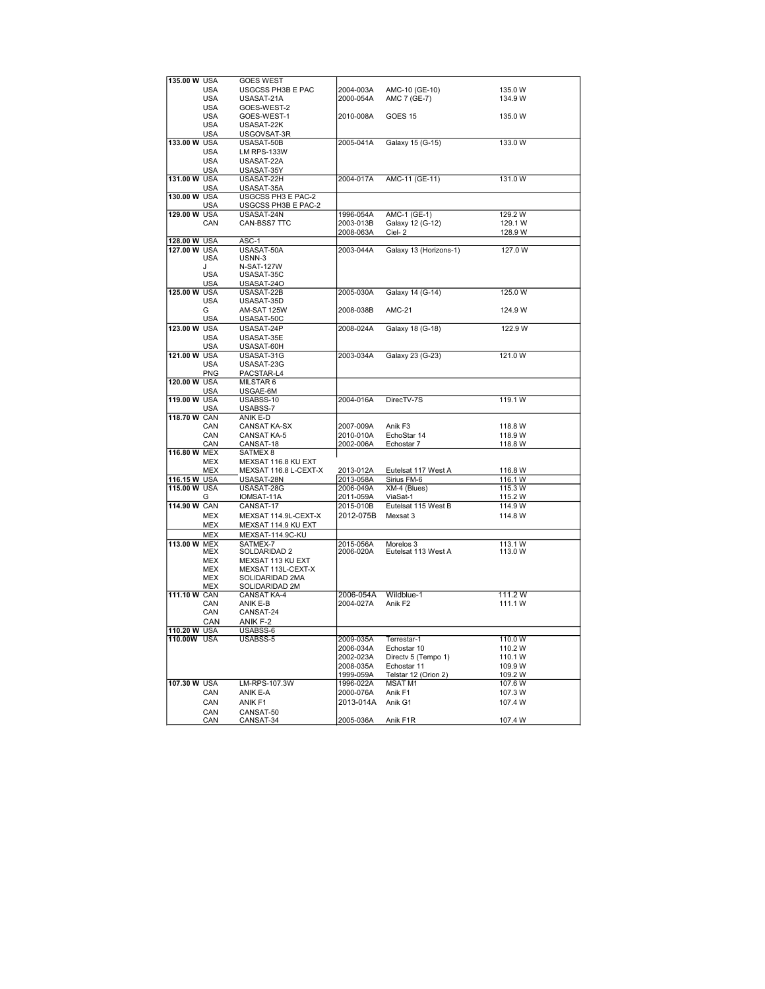| 135,00 W USA |            | <b>GOES WEST</b>         |           |                        |         |
|--------------|------------|--------------------------|-----------|------------------------|---------|
|              | <b>USA</b> | USGCSS PH3B E PAC        | 2004-003A | AMC-10 (GE-10)         | 135.0 W |
|              | <b>USA</b> | USASAT-21A               | 2000-054A | AMC 7 (GE-7)           | 134.9 W |
|              | <b>USA</b> | GOES-WEST-2              |           |                        |         |
|              | <b>USA</b> | GOES-WEST-1              | 2010-008A | GOES <sub>15</sub>     | 135.0 W |
|              | <b>USA</b> | USASAT-22K               |           |                        |         |
|              | <b>USA</b> | USGOVSAT-3R              |           |                        |         |
| 133.00 W USA |            | USASAT-50B               | 2005-041A | Galaxy 15 (G-15)       | 133.0 W |
|              | <b>USA</b> | <b>LM RPS-133W</b>       |           |                        |         |
|              | <b>USA</b> | USASAT-22A               |           |                        |         |
|              |            |                          |           |                        |         |
| 131.00 W USA | USA        | USASAT-35Y<br>USASAT-22H | 2004-017A | AMC-11 (GE-11)         | 131.0 W |
|              |            |                          |           |                        |         |
|              | <b>USA</b> | USASAT-35A               |           |                        |         |
| 130.00 W USA |            | USGCSS PH3 E PAC-2       |           |                        |         |
|              | <b>USA</b> | USGCSS PH3B E PAC-2      |           |                        |         |
| 129.00 W USA |            | USASAT-24N               | 1996-054A | <b>AMC-1 (GE-1)</b>    | 129.2 W |
|              | CAN        | CAN-BSS7 TTC             | 2003-013B | Galaxy 12 (G-12)       | 129.1 W |
|              |            |                          | 2008-063A | Ciel-2                 | 128.9 W |
| 128.00 W USA |            | ASC-1                    |           |                        |         |
| 127.00 W USA |            | USASAT-50A               | 2003-044A | Galaxy 13 (Horizons-1) | 127.0 W |
|              | <b>USA</b> | USNN-3                   |           |                        |         |
|              | J.         | <b>N-SAT-127W</b>        |           |                        |         |
|              | <b>USA</b> | USASAT-35C               |           |                        |         |
|              | USA        | USASAT-24O               |           |                        |         |
| 125.00 W USA |            | USASAT-22B               | 2005-030A | Galaxy 14 (G-14)       | 125.0 W |
|              | <b>USA</b> | USASAT-35D               |           |                        |         |
|              | G          | AM-SAT 125W              | 2008-038B | <b>AMC-21</b>          | 124.9 W |
|              | USA        | USASAT-50C               |           |                        |         |
| 123.00 W USA |            | USASAT-24P               | 2008-024A | Galaxy 18 (G-18)       | 122.9 W |
|              | USA        | USASAT-35E               |           |                        |         |
|              | USA        | USASAT-60H               |           |                        |         |
| 121.00 W USA |            | USASAT-31G               | 2003-034A | Galaxy 23 (G-23)       | 121.0 W |
|              | USA        | USASAT-23G               |           |                        |         |
|              | PNG        | PACSTAR-L4               |           |                        |         |
|              |            |                          |           |                        |         |
| 120.00 W USA |            | MILSTAR 6                |           |                        |         |
|              | <b>USA</b> | USGAE-6M                 |           |                        |         |
| 119.00 W USA |            | USABSS-10                | 2004-016A | DirecTV-7S             | 119.1 W |
|              | <b>USA</b> | USABSS-7                 |           |                        |         |
| 118.70 W CAN |            | ANIK E-D                 |           |                        |         |
|              | CAN        | <b>CANSAT KA-SX</b>      | 2007-009A | Anik F3                | 118.8 W |
|              | CAN        | <b>CANSAT KA-5</b>       | 2010-010A | EchoStar 14            | 118.9 W |
|              | CAN        | CANSAT-18                | 2002-006A | Echostar 7             | 118.8 W |
| 116.80 W MEX |            | <b>SATMEX8</b>           |           |                        |         |
|              | <b>MEX</b> | MEXSAT 116.8 KU EXT      |           |                        |         |
|              | <b>MEX</b> | MEXSAT 116.8 L-CEXT-X    | 2013-012A | Eutelsat 117 West A    | 116.8 W |
| 116.15 W USA |            | USASAT-28N               | 2013-058A | Sirius FM-6            | 116.1 W |
| 115.00 W USA |            | USASAT-28G               | 2006-049A | XM-4 (Blues)           | 115.3 W |
|              | G          | IOMSAT-11A               | 2011-059A | ViaSat-1               | 115.2 W |
| 114.90 W CAN |            | CANSAT-17                | 2015-010B | Eutelsat 115 West B    | 114.9 W |
|              | <b>MEX</b> | MEXSAT 114.9L-CEXT-X     | 2012-075B | Mexsat 3               | 114.8 W |
|              | <b>MEX</b> | MEXSAT 114.9 KU EXT      |           |                        |         |
|              | <b>MEX</b> | MEXSAT-114.9C-KU         |           |                        |         |
|              |            | SATMEX-7                 |           |                        |         |
| 113.00 W MEX |            |                          | 2015-056A | Morelos 3              | 113.1 W |
|              | MEX        | SOLDARIDAD 2             | 2006-020A | Eutelsat 113 West A    | 113.0 W |
|              | MEX        | MEXSAT 113 KU EXT        |           |                        |         |
|              | <b>MEX</b> | MEXSAT 113L-CEXT-X       |           |                        |         |
|              | MEX        | SOLIDARIDAD 2MA          |           |                        |         |
|              | <b>MEX</b> | SOLIDARIDAD 2M           |           | Wildblue-1             |         |
| 111.10 W CAN |            | <b>CANSAT KA-4</b>       | 2006-054A |                        | 111.2 W |
|              | CAN        | ANIK E-B                 | 2004-027A | Anik F <sub>2</sub>    | 111.1 W |
|              | CAN        | CANSAT-24                |           |                        |         |
|              | CAN        | ANIK F-2                 |           |                        |         |
| 110.20 W USA |            | USABSS-6                 |           |                        |         |
| 110.00W USA  |            | USABSS-5                 | 2009-035A | Terrestar-1            | 110.0 W |
|              |            |                          | 2006-034A | Echostar 10            | 110.2 W |
|              |            |                          | 2002-023A | Directv 5 (Tempo 1)    | 110.1 W |
|              |            |                          | 2008-035A | Echostar 11            | 109.9 W |
|              |            |                          | 1999-059A | Telstar 12 (Orion 2)   | 109.2 W |
| 107.30 W USA |            | LM-RPS-107.3W            | 1996-022A | <b>MSAT M1</b>         | 107.6 W |
|              | CAN        | ANIK E-A                 | 2000-076A | Anik F1                | 107.3 W |
|              | CAN        | ANIK F1                  | 2013-014A | Anik G1                | 107.4 W |
|              |            |                          |           |                        |         |
|              | CAN        | CANSAT-50                | 2005-036A |                        |         |
|              | CAN        | CANSAT-34                |           | Anik F1R               | 107.4 W |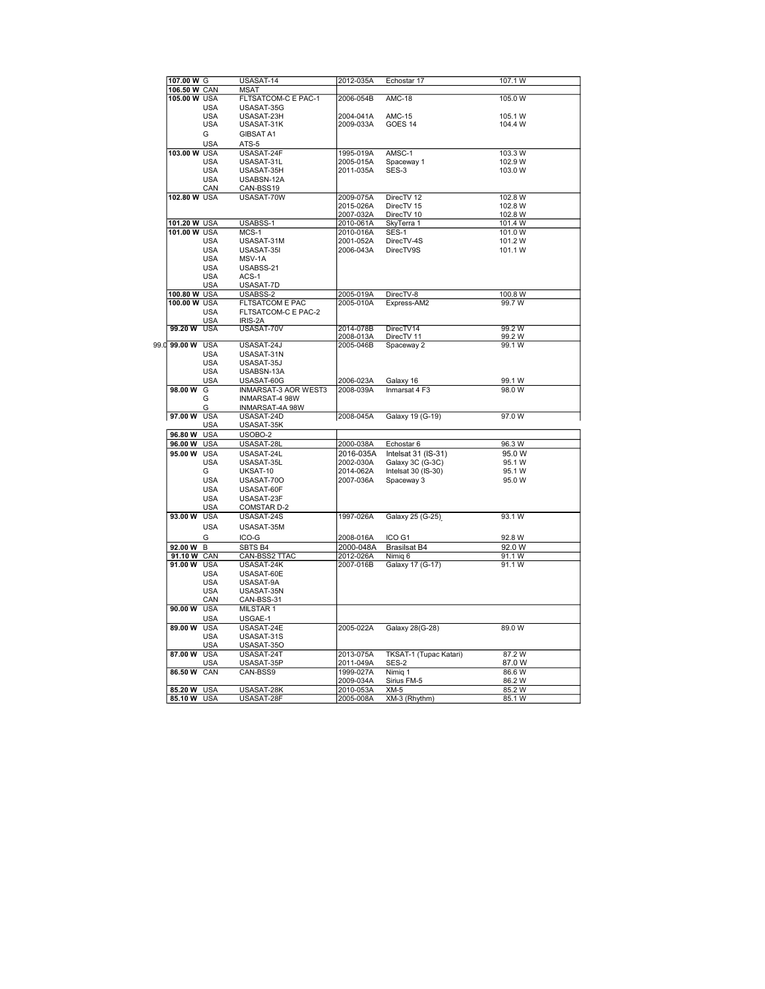| 107.00 W G   |            | USASAT-14              | 2012-035A | Echostar 17            | 107.1 W |
|--------------|------------|------------------------|-----------|------------------------|---------|
| 106.50 W CAN |            | MSAT                   |           |                        |         |
| 105.00 W USA |            | FLTSATCOM-C E PAC-1    | 2006-054B | <b>AMC-18</b>          | 105.0 W |
|              | <b>USA</b> | USASAT-35G             |           |                        |         |
|              |            |                        |           |                        |         |
|              | <b>USA</b> | USASAT-23H             | 2004-041A | <b>AMC-15</b>          | 105.1 W |
|              | <b>USA</b> | USASAT-31K             | 2009-033A | GOES 14                | 104.4 W |
|              | G          | GIBSAT A1              |           |                        |         |
|              |            |                        |           |                        |         |
|              | <b>USA</b> | ATS-5                  |           |                        |         |
| 103.00 W USA |            | USASAT-24F             | 1995-019A | AMSC-1                 | 103.3 W |
|              | <b>USA</b> | USASAT-31L             | 2005-015A | Spaceway 1             | 102.9 W |
|              | <b>USA</b> | USASAT-35H             | 2011-035A | SES-3                  | 103.0 W |
|              |            |                        |           |                        |         |
|              | <b>USA</b> | USABSN-12A             |           |                        |         |
|              | CAN        | CAN-BSS19              |           |                        |         |
| 102.80 W USA |            | USASAT-70W             | 2009-075A | DirecTV 12             | 102.8 W |
|              |            |                        | 2015-026A | DirecTV 15             | 102.8 W |
|              |            |                        |           |                        |         |
|              |            |                        | 2007-032A | DirecTV 10             | 102.8 W |
| 101.20 W USA |            | USABSS-1               | 2010-061A | SkyTerra 1             | 101.4 W |
| 101.00 W USA |            | MCS-1                  | 2010-016A | SES-1                  | 101.0 W |
|              | <b>USA</b> | USASAT-31M             | 2001-052A | DirecTV-4S             | 101.2 W |
|              |            |                        |           |                        |         |
|              | <b>USA</b> | USASAT-35I             | 2006-043A | DirecTV9S              | 101.1 W |
|              | <b>USA</b> | MSV-1A                 |           |                        |         |
|              | <b>USA</b> | USABSS-21              |           |                        |         |
|              | <b>USA</b> | ACS-1                  |           |                        |         |
|              |            |                        |           |                        |         |
|              | <b>USA</b> | USASAT-7D              |           |                        |         |
| 100.80 W USA |            | USABSS-2               | 2005-019A | DirecTV-8              | 100.8 W |
| 100.00 W USA |            | <b>FLTSATCOM E PAC</b> | 2005-010A | Express-AM2            | 99.7 W  |
|              | <b>USA</b> | FLTSATCOM-C E PAC-2    |           |                        |         |
|              |            |                        |           |                        |         |
|              | <b>USA</b> | IRIS-2A                |           |                        |         |
| 99.20 W      | <b>USA</b> | USASAT-70V             | 2014-078B | DirecTV14              | 99.2 W  |
|              |            |                        | 2008-013A | DirecTV 11             | 99.2 W  |
| 99.d 99.00 W | <b>USA</b> | USASAT-24J             | 2005-046B | Spaceway 2             | 99.1 W  |
|              | <b>USA</b> | USASAT-31N             |           |                        |         |
|              | <b>USA</b> | USASAT-35J             |           |                        |         |
|              |            |                        |           |                        |         |
|              | <b>USA</b> | USABSN-13A             |           |                        |         |
|              | USA        | USASAT-60G             | 2006-023A | Galaxy 16              | 99.1 W  |
| 98.00 W      | G          | INMARSAT-3 AOR WEST3   | 2008-039A | Inmarsat 4 F3          | 98.0 W  |
|              | G          | <b>INMARSAT-4 98W</b>  |           |                        |         |
|              |            |                        |           |                        |         |
|              | G          | INMARSAT-4A 98W        |           |                        |         |
| 97.00 W USA  |            | USASAT-24D             | 2008-045A | Galaxy 19 (G-19)       | 97.0 W  |
|              | <b>USA</b> | USASAT-35K             |           |                        |         |
| 96.80 W      | <b>USA</b> | USOBO-2                |           |                        |         |
|              |            |                        |           |                        |         |
| 96.00 W USA  |            | USASAT-28L             | 2000-038A | Echostar 6             | 96.3 W  |
| 95.00 W USA  |            | USASAT-24L             | 2016-035A | Intelsat 31 (IS-31)    | 95.0 W  |
|              | <b>USA</b> | USASAT-35L             | 2002-030A | Galaxy 3C (G-3C)       | 95.1 W  |
|              |            |                        |           |                        |         |
|              | G          | UKSAT-10               | 2014-062A | Intelsat 30 (IS-30)    | 95.1 W  |
|              | <b>USA</b> | USASAT-70O             | 2007-036A | Spaceway 3             | 95.0 W  |
|              | <b>USA</b> | USASAT-60F             |           |                        |         |
|              | USA        | USASAT-23F             |           |                        |         |
|              | <b>USA</b> | <b>COMSTAR D-2</b>     |           |                        |         |
|              |            |                        |           |                        |         |
| 93.00 W      | <b>USA</b> | USASAT-24S             | 1997-026A | Galaxy 25 (G-25)       | 93.1 W  |
|              | <b>USA</b> | USASAT-35M             |           |                        |         |
|              |            |                        |           |                        |         |
|              | G          | ICO-G                  | 2008-016A | ICO G1                 | 92.8 W  |
| 92.00 W      | B          | SBTS B4                | 2000-048A | <b>Brasilsat B4</b>    | 92.0 W  |
| 91.10 W CAN  |            | CAN-BSS2 TTAC          | 2012-026A | Nimig 6                | 91.1 W  |
| 91.00 W      | <b>USA</b> | USASAT-24K             | 2007-016B | Galaxy 17 (G-17)       | 91.1 W  |
|              |            |                        |           |                        |         |
|              | USA        | USASAT-60E             |           |                        |         |
|              | <b>USA</b> | USASAT-9A              |           |                        |         |
|              | <b>USA</b> | USASAT-35N             |           |                        |         |
|              | CAN        | CAN-BSS-31             |           |                        |         |
|              |            |                        |           |                        |         |
| 90.00 W      | <b>USA</b> | MILSTAR 1              |           |                        |         |
|              | <b>USA</b> | USGAE-1                |           |                        |         |
| 89.00 W      | <b>USA</b> | USASAT-24E             | 2005-022A | Galaxy 28(G-28)        | 89.0 W  |
|              |            |                        |           |                        |         |
|              | <b>USA</b> | USASAT-31S             |           |                        |         |
|              | <b>USA</b> | USASAT-35O             |           |                        |         |
| 87.00 W USA  |            | USASAT-24T             | 2013-075A | TKSAT-1 (Tupac Katari) | 87.2 W  |
|              | <b>USA</b> | USASAT-35P             | 2011-049A | SES-2                  | 87.0W   |
| 86.50 W CAN  |            | CAN-BSS9               | 1999-027A | Nimig 1                | 86.6W   |
|              |            |                        |           |                        |         |
|              |            |                        | 2009-034A | Sirius FM-5            | 86.2 W  |
| 85.20 W USA  |            | USASAT-28K             | 2010-053A | $XM-5$                 | 85.2 W  |
| 85.10 W USA  |            | USASAT-28F             | 2005-008A | XM-3 (Rhythm)          | 85.1 W  |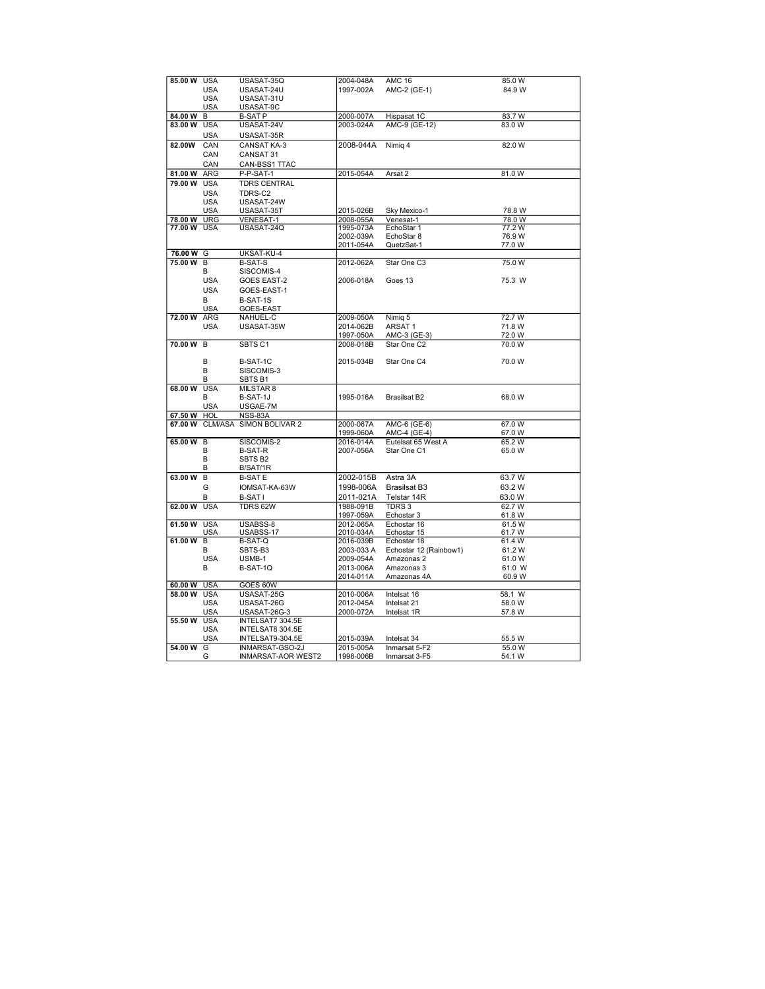| 85.00 W     | <b>USA</b>     | USASAT-35Q              | 2004-048A  | <b>AMC 16</b>          | 85.0 W |  |
|-------------|----------------|-------------------------|------------|------------------------|--------|--|
|             | <b>USA</b>     | USASAT-24U              | 1997-002A  | AMC-2 (GE-1)           | 84.9 W |  |
|             | <b>USA</b>     | USASAT-31U              |            |                        |        |  |
|             |                |                         |            |                        |        |  |
|             | <b>USA</b>     | USASAT-9C               |            |                        |        |  |
| 84.00 W     | в              | <b>B-SAT P</b>          | 2000-007A  | Hispasat 1C            | 83.7W  |  |
| 83.00 W     | <b>USA</b>     | USASAT-24V              | 2003-024A  | AMC-9 (GE-12)          | 83.0 W |  |
|             |                |                         |            |                        |        |  |
|             | USA            | USASAT-35R              |            |                        |        |  |
| 82.00W      | CAN            | <b>CANSAT KA-3</b>      | 2008-044A  | Nimig 4                | 82.0 W |  |
|             |                |                         |            |                        |        |  |
|             | CAN            | CANSAT 31               |            |                        |        |  |
|             | CAN            | CAN-BSS1 TTAC           |            |                        |        |  |
| 81.00 W     | ARG            | P-P-SAT-1               | 2015-054A  | Arsat 2                | 81.0 W |  |
|             |                |                         |            |                        |        |  |
| 79.00 W     | <b>USA</b>     | <b>TDRS CENTRAL</b>     |            |                        |        |  |
|             | <b>USA</b>     | TDRS-C2                 |            |                        |        |  |
|             | <b>USA</b>     | USASAT-24W              |            |                        |        |  |
|             |                |                         |            |                        |        |  |
|             | <b>USA</b>     | USASAT-35T              | 2015-026B  | Sky Mexico-1           | 78.8 W |  |
| 78.00 W     | <b>URG</b>     | <b>VENESAT-1</b>        | 2008-055A  | Venesat-1              | 78.0 W |  |
| 77.00 W USA |                | USASAT-24Q              | 1995-073A  | EchoStar 1             | 77.2W  |  |
|             |                |                         | 2002-039A  | EchoStar 8             | 76.9 W |  |
|             |                |                         | 2011-054A  | QuetzSat-1             | 77.0W  |  |
|             |                | UKSAT-KU-4              |            |                        |        |  |
| 76.00 W G   |                |                         |            |                        |        |  |
| 75.00 W     | B              | <b>B-SAT-S</b>          | 2012-062A  | Star One C3            | 75.0 W |  |
|             | В              | SISCOMIS-4              |            |                        |        |  |
|             | <b>USA</b>     | <b>GOES EAST-2</b>      | 2006-018A  | Goes 13                | 75.3 W |  |
|             |                |                         |            |                        |        |  |
|             | <b>USA</b>     | GOES-EAST-1             |            |                        |        |  |
|             | B              | B-SAT-1S                |            |                        |        |  |
|             | <b>USA</b>     | GOES-EAST               |            |                        |        |  |
| 72.00 W     | <b>ARG</b>     | NAHUEL-C                | 2009-050A  | Nimig 5                | 72.7 W |  |
|             |                |                         |            |                        |        |  |
|             | <b>USA</b>     | USASAT-35W              | 2014-062B  | ARSAT <sub>1</sub>     | 71.8 W |  |
|             |                |                         | 1997-050A  | AMC-3 (GE-3)           | 72.0 W |  |
| 70.00 W     | B              | SBTS <sub>C1</sub>      | 2008-018B  | Star One C2            | 70.0 W |  |
|             |                |                         |            |                        |        |  |
|             | B              | B-SAT-1C                | 2015-034B  | Star One C4            | 70.0 W |  |
|             |                |                         |            |                        |        |  |
|             | B              | SISCOMIS-3              |            |                        |        |  |
|             | В              | SBTS <sub>B1</sub>      |            |                        |        |  |
| 68.00 W     | <b>USA</b>     | MILSTAR 8               |            |                        |        |  |
|             | В              | B-SAT-1J                | 1995-016A  | Brasilsat B2           | 68.0 W |  |
|             |                |                         |            |                        |        |  |
|             | <b>USA</b>     | USGAE-7M                |            |                        |        |  |
| 67.50 W     | HOL            | NSS-83A                 |            |                        |        |  |
| 67.00 W     |                | CLM/ASA SIMON BOLIVAR 2 | 2000-067A  | AMC-6 (GE-6)           | 67.0 W |  |
|             |                |                         | 1999-060A  | AMC-4 (GE-4)           | 67.0 W |  |
| 65.00 W     | B              | SISCOMIS-2              | 2016-014A  | Eutelsat 65 West A     | 65.2 W |  |
|             |                |                         |            |                        |        |  |
|             | B              | <b>B-SAT-R</b>          | 2007-056A  | Star One C1            | 65.0 W |  |
|             | B              | SBTS <sub>B2</sub>      |            |                        |        |  |
|             | В              | B/SAT/1R                |            |                        |        |  |
| 63.00 W     | B              | <b>B-SATE</b>           | 2002-015B  | Astra 3A               | 63.7 W |  |
|             |                |                         |            |                        |        |  |
|             | G              | IOMSAT-KA-63W           | 1998-006A  | <b>Brasilsat B3</b>    | 63.2 W |  |
|             | в              | <b>B-SATI</b>           | 2011-021A  | Telstar 14R            | 63.0 W |  |
| 62.00 W     | <b>USA</b>     | TDRS 62W                | 1988-091B  | TDRS <sub>3</sub>      | 62.7 W |  |
|             |                |                         |            |                        |        |  |
|             |                |                         | 1997-059A  | Echostar 3             | 61.8 W |  |
| 61.50 W USA |                | USABSS-8                | 2012-065A  | Echostar 16            | 61.5 W |  |
|             | USA            | USABSS-17               | 2010-034A  | Echostar 15            | 61.7 W |  |
| 61.00 W     | $\overline{B}$ | <b>B-SAT-Q</b>          | 2016-039B  | Echostar 18            | 61.4W  |  |
|             | в              | SBTS-B3                 | 2003-033 A | Echostar 12 (Rainbow1) | 61.2 W |  |
|             | <b>USA</b>     | USMB-1                  | 2009-054A  |                        | 61.0W  |  |
|             |                |                         |            | Amazonas 2             |        |  |
|             | В              | B-SAT-1Q                | 2013-006A  | Amazonas 3             | 61.0 W |  |
|             |                |                         | 2014-011A  | Amazonas 4A            | 60.9 W |  |
| 60.00 W     | <b>USA</b>     | GOES 60W                |            |                        |        |  |
| 58.00 W     | <b>USA</b>     | USASAT-25G              | 2010-006A  | Intelsat 16            | 58.1 W |  |
|             |                |                         |            |                        |        |  |
|             | <b>USA</b>     | USASAT-26G              | 2012-045A  | Intelsat 21            | 58.0 W |  |
|             | <b>USA</b>     | USASAT-26G-3            | 2000-072A  | Intelsat 1R            | 57.8 W |  |
| 55.50 W     | <b>USA</b>     | INTELSAT7 304.5E        |            |                        |        |  |
|             | <b>USA</b>     | INTELSAT8 304.5E        |            |                        |        |  |
|             | <b>USA</b>     |                         |            |                        |        |  |
|             |                | INTELSAT9-304.5E        | 2015-039A  | Intelsat 34            | 55.5 W |  |
| 54.00 W     | G              | INMARSAT-GSO-2J         | 2015-005A  | Inmarsat 5-F2          | 55.0 W |  |
|             | G              | INMARSAT-AOR WEST2      | 1998-006B  | Inmarsat 3-F5          | 54.1 W |  |
|             |                |                         |            |                        |        |  |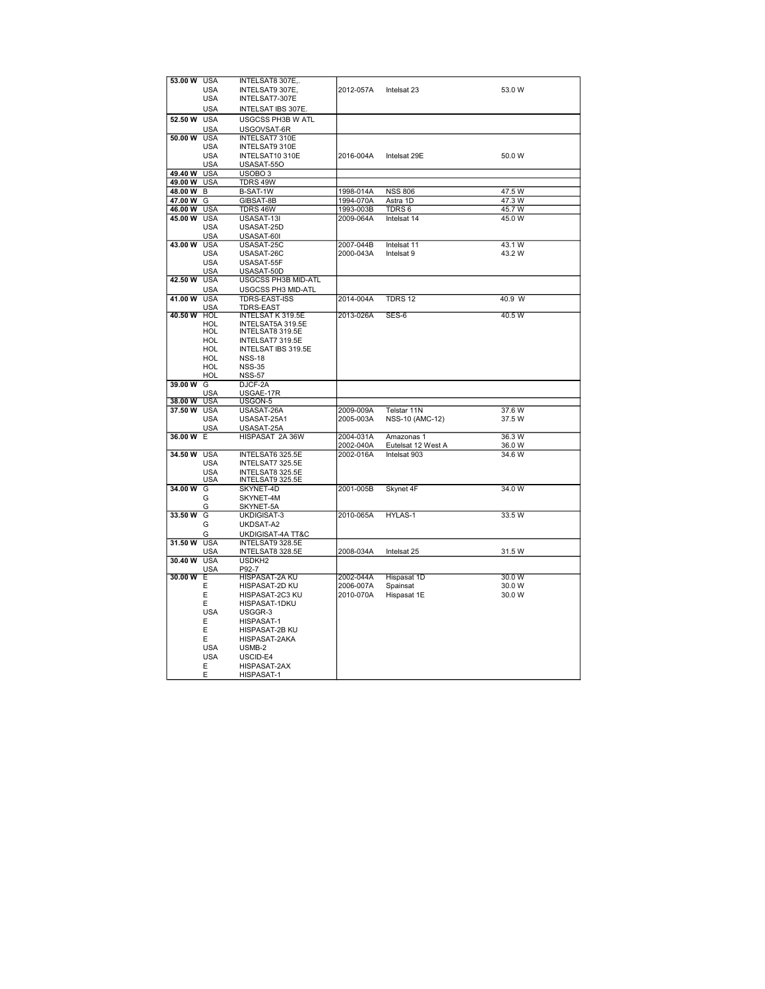| 53.00 W     | <b>USA</b> | INTELSAT8 307E,.           |           |                    |        |
|-------------|------------|----------------------------|-----------|--------------------|--------|
|             | USA        | INTELSAT9 307E,            | 2012-057A | Intelsat 23        | 53.0 W |
|             | <b>USA</b> | INTELSAT7-307E             |           |                    |        |
|             |            |                            |           |                    |        |
|             | <b>USA</b> | INTELSAT IBS 307E.         |           |                    |        |
| 52.50 W     | <b>USA</b> | USGCSS PH3B W ATL          |           |                    |        |
|             | <b>USA</b> | USGOVSAT-6R                |           |                    |        |
| 50.00 W     | <b>USA</b> | <b>INTELSAT7 310E</b>      |           |                    |        |
|             | <b>USA</b> | <b>INTELSAT9 310E</b>      |           |                    |        |
|             |            |                            |           |                    |        |
|             | <b>USA</b> | INTELSAT10 310E            | 2016-004A | Intelsat 29E       | 50.0 W |
|             | <b>USA</b> | USASAT-55O                 |           |                    |        |
| 49.40 W     | <b>USA</b> | USOBO <sub>3</sub>         |           |                    |        |
| 49.00 W     | <b>USA</b> | TDRS 49W                   |           |                    |        |
| 48.00 W     | в          | B-SAT-1W                   | 1998-014A | <b>NSS 806</b>     | 47.5 W |
| 47.00 W     | G          | GIBSAT-8B                  | 1994-070A | Astra 1D           | 47.3 W |
|             |            |                            |           |                    |        |
| 46.00 W     | <b>USA</b> | TDRS 46W                   | 1993-003B | TDRS 6             | 45.7 W |
| 45.00 W     | <b>USA</b> | USASAT-13I                 | 2009-064A | Intelsat 14        | 45.0 W |
|             | <b>USA</b> | USASAT-25D                 |           |                    |        |
|             | USA        | USASAT-60I                 |           |                    |        |
| 43.00 W USA |            | USASAT-25C                 | 2007-044B | Intelsat 11        | 43.1 W |
|             | <b>USA</b> | USASAT-26C                 | 2000-043A | Intelsat 9         | 43.2 W |
|             | <b>USA</b> |                            |           |                    |        |
|             |            | USASAT-55F                 |           |                    |        |
|             | <b>USA</b> | USASAT-50D                 |           |                    |        |
| 42.50 W     | <b>USA</b> | USGCSS PH3B MID-ATL        |           |                    |        |
|             | <b>USA</b> | USGCSS PH3 MID-ATL         |           |                    |        |
| 41.00 W     | <b>USA</b> | TDRS-EAST-ISS              | 2014-004A | <b>TDRS 12</b>     | 40.9 W |
|             | <b>USA</b> | <b>TDRS-EAST</b>           |           |                    |        |
| 40.50 W     | <b>HOL</b> | <b>INTELSAT K 319.5E</b>   | 2013-026A | SES-6              | 40.5 W |
|             | HOL        | INTELSAT5A 319.5E          |           |                    |        |
|             | HOL        |                            |           |                    |        |
|             |            | INTELSAT8 319.5E           |           |                    |        |
|             | HOL        | INTELSAT7 319.5E           |           |                    |        |
|             | HOL        | INTELSAT IBS 319.5E        |           |                    |        |
|             | HOL        | <b>NSS-18</b>              |           |                    |        |
|             | HOL        | <b>NSS-35</b>              |           |                    |        |
|             | HOL        | <b>NSS-57</b>              |           |                    |        |
|             |            |                            |           |                    |        |
|             |            |                            |           |                    |        |
| 39.00W      | G          | DJCF-2A                    |           |                    |        |
|             | USA        | USGAE-17R                  |           |                    |        |
| 38.00 W     | <b>USA</b> | USGON-5                    |           |                    |        |
| 37.50 W     | <b>USA</b> | USASAT-26A                 | 2009-009A | Telstar 11N        | 37.6 W |
|             | <b>USA</b> | USASAT-25A1                | 2005-003A | NSS-10 (AMC-12)    | 37.5 W |
|             | <b>USA</b> | USASAT-25A                 |           |                    |        |
| 36.00 W E   |            | HISPASAT 2A 36W            | 2004-031A | Amazonas 1         | 36.3 W |
|             |            |                            |           |                    |        |
|             |            |                            | 2002-040A | Eutelsat 12 West A | 36.0 W |
| 34.50 W     | <b>USA</b> | INTELSAT6 325.5E           | 2002-016A | Intelsat 903       | 34.6 W |
|             | USA        | INTELSAT7 325.5E           |           |                    |        |
|             | <b>USA</b> | INTELSAT8 325.5E           |           |                    |        |
|             | <b>USA</b> | INTELSAT9 325.5E           |           |                    |        |
| 34.00 W     | G          | SKYNET-4D                  | 2001-005B | Skynet 4F          | 34.0 W |
|             | G          | SKYNET-4M                  |           |                    |        |
|             | G          | SKYNET-5A                  |           |                    |        |
| 33.50 W     | G          | UKDIGISAT-3                | 2010-065A | HYLAS-1            | 33.5 W |
|             | G          |                            |           |                    |        |
|             |            | UKDSAT-A2                  |           |                    |        |
|             | G          | UKDIGISAT-4A TT&C          |           |                    |        |
| 31.50 W     | <b>USA</b> | INTELSAT9 328.5E           |           |                    |        |
|             | USA        | INTELSAT8 328.5E           | 2008-034A | Intelsat 25        | 31.5 W |
| 30.40 W     | <b>USA</b> | USDKH2                     |           |                    |        |
|             | <b>USA</b> | P92-7                      |           |                    |        |
| 30.00 W     | Έ          | HISPASAT-2A KU             | 2002-044A | Hispasat 1D        | 30.0 W |
|             | Е          | HISPASAT-2D KU             |           |                    | 30.0 W |
|             |            |                            | 2006-007A | Spainsat           |        |
|             | E          | HISPASAT-2C3 KU            | 2010-070A | Hispasat 1E        | 30.0 W |
|             | E          | HISPASAT-1DKU              |           |                    |        |
|             | <b>USA</b> | USGGR-3                    |           |                    |        |
|             | E          | HISPASAT-1                 |           |                    |        |
|             | E          | HISPASAT-2B KU             |           |                    |        |
|             |            |                            |           |                    |        |
|             | E          | HISPASAT-2AKA              |           |                    |        |
|             | <b>USA</b> | USMB-2                     |           |                    |        |
|             | <b>USA</b> | USCID-E4                   |           |                    |        |
|             | Ε<br>E     | HISPASAT-2AX<br>HISPASAT-1 |           |                    |        |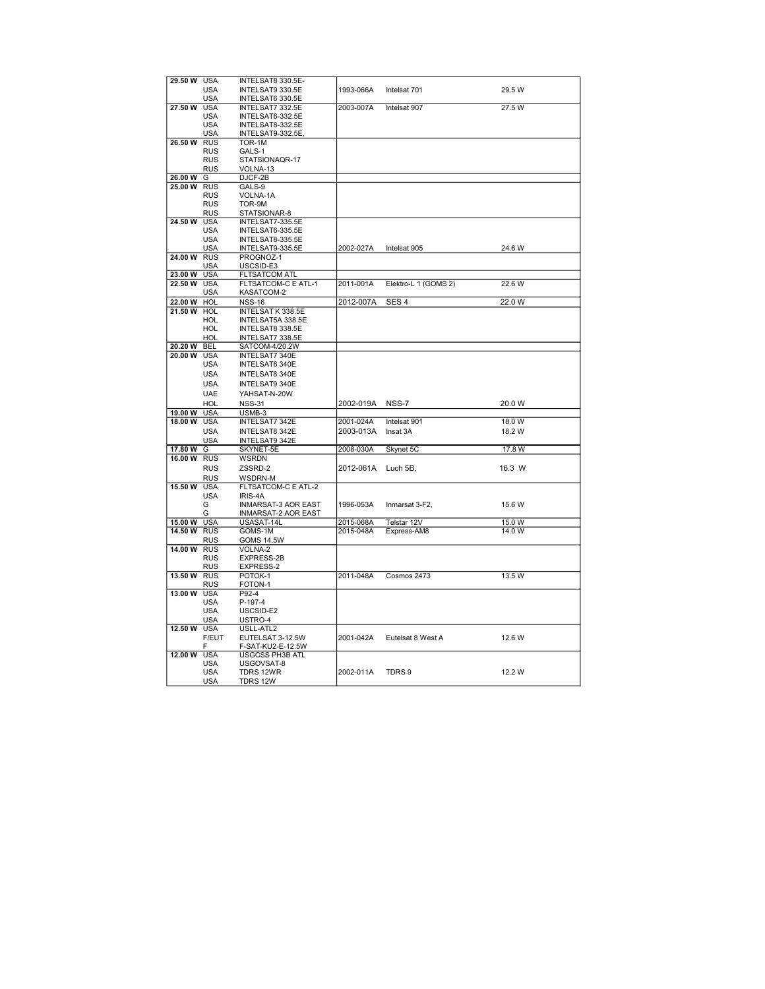|             | <b>USA</b> | INTELSAT8 330.5E-          |           |                      |        |
|-------------|------------|----------------------------|-----------|----------------------|--------|
| 29.50 W     |            |                            |           |                      |        |
|             | USA        | INTELSAT9 330.5E           | 1993-066A | Intelsat 701         | 29.5 W |
|             | <b>USA</b> | INTELSAT6 330.5E           |           |                      |        |
| 27.50 W     | <b>USA</b> | INTELSAT7 332.5E           | 2003-007A | Intelsat 907         | 27.5 W |
|             | USA        | INTELSAT6-332.5E           |           |                      |        |
|             | USA        | INTELSAT8-332.5E           |           |                      |        |
|             | <b>USA</b> | INTELSAT9-332.5E           |           |                      |        |
| 26.50 W     | <b>RUS</b> | TOR-1M                     |           |                      |        |
|             |            |                            |           |                      |        |
|             | <b>RUS</b> | GALS-1                     |           |                      |        |
|             | <b>RUS</b> | STATSIONAQR-17             |           |                      |        |
|             | <b>RUS</b> | VOLNA-13                   |           |                      |        |
| 26.00 W     | G          | DJCF-2B                    |           |                      |        |
| 25.00 W     | <b>RUS</b> | GALS-9                     |           |                      |        |
|             | <b>RUS</b> | VOLNA-1A                   |           |                      |        |
|             |            |                            |           |                      |        |
|             | <b>RUS</b> | TOR-9M                     |           |                      |        |
|             | <b>RUS</b> | STATSIONAR-8               |           |                      |        |
| 24.50 W     | <b>USA</b> | INTELSAT7-335.5E           |           |                      |        |
|             | USA        | INTELSAT6-335.5E           |           |                      |        |
|             | <b>USA</b> | INTELSAT8-335.5E           |           |                      |        |
|             | <b>USA</b> | INTELSAT9-335.5E           | 2002-027A | Intelsat 905         | 24.6 W |
|             |            |                            |           |                      |        |
| 24.00 W RUS |            | PROGNOZ-1                  |           |                      |        |
|             | USA        | USCSID-E3                  |           |                      |        |
| 23.00 W     | <b>USA</b> | <b>FLTSATCOM ATL</b>       |           |                      |        |
| 22.50 W     | <b>USA</b> | FLTSATCOM-C E ATL-1        | 2011-001A | Elektro-L 1 (GOMS 2) | 22.6 W |
|             | <b>USA</b> | KASATCOM-2                 |           |                      |        |
| 22.00 W     | HOL        | <b>NSS-16</b>              | 2012-007A | SES <sub>4</sub>     | 22.0 W |
| 21.50 W     | <b>HOL</b> | INTELSAT K 338.5E          |           |                      |        |
|             |            |                            |           |                      |        |
|             | HOL        | INTELSAT5A 338.5E          |           |                      |        |
|             | HOL        | INTELSAT8 338.5E           |           |                      |        |
|             | HOL        | INTELSAT7 338.5E           |           |                      |        |
| 20.20 W     | <b>BEL</b> | SATCOM-4/20.2W             |           |                      |        |
| 20.00 W     | <b>USA</b> | INTELSAT7 340E             |           |                      |        |
|             | <b>USA</b> | INTELSAT6 340E             |           |                      |        |
|             |            |                            |           |                      |        |
|             | <b>USA</b> | INTELSAT8 340E             |           |                      |        |
|             | <b>USA</b> | <b>INTELSAT9 340E</b>      |           |                      |        |
|             |            |                            |           |                      |        |
|             |            |                            |           |                      |        |
|             | <b>UAE</b> | YAHSAT-N-20W               |           |                      |        |
|             | <b>HOL</b> | <b>NSS-31</b>              | 2002-019A | NSS-7                | 20.0 W |
| 19.00 W     | <b>USA</b> | USMB-3                     |           |                      |        |
| 18.00 W     | USA        | INTELSAT7 342E             | 2001-024A | Intelsat 901         | 18.0 W |
|             | <b>USA</b> | INTELSAT8 342E             | 2003-013A | Insat 3A             | 18.2 W |
|             |            |                            |           |                      |        |
|             | USA        | INTELSAT9 342E             |           |                      |        |
| 17.80 W     | G          | SKYNET-5E                  | 2008-030A | Skynet 5C            | 17.8 W |
| 16.00 W     | <b>RUS</b> | WSRDN                      |           |                      |        |
|             | <b>RUS</b> | ZSSRD-2                    | 2012-061A | Luch 5B,             | 16.3 W |
|             | <b>RUS</b> | WSDRN-M                    |           |                      |        |
| 15.50 W     | <b>USA</b> | FLTSATCOM-C E ATL-2        |           |                      |        |
|             |            |                            |           |                      |        |
|             | <b>USA</b> | <b>IRIS-4A</b>             |           |                      |        |
|             | G          | <b>INMARSAT-3 AOR EAST</b> | 1996-053A | Inmarsat 3-F2,       | 15.6 W |
|             | G          | <b>INMARSAT-2 AOR EAST</b> |           |                      |        |
| 15.00 W     | <b>USA</b> | USASAT-14L                 | 2015-068A | Telstar 12V          | 15.0 W |
| 14.50 W     | <b>RUS</b> | GOMS-1M                    | 2015-048A | Express-AM8          | 14.0 W |
|             | <b>RUS</b> | <b>GOMS 14.5W</b>          |           |                      |        |
| 14.00 W     | <b>RUS</b> | VOLNA-2                    |           |                      |        |
|             |            |                            |           |                      |        |
|             | <b>RUS</b> | EXPRESS-2B                 |           |                      |        |
|             | RUS        | EXPRESS-2                  |           |                      |        |
| 13.50 W RUS |            | POTOK-1                    | 2011-048A | Cosmos 2473          | 13.5 W |
|             | <b>RUS</b> | FOTON-1                    |           |                      |        |
| 13.00 W     | <b>USA</b> | P92-4                      |           |                      |        |
|             | <b>USA</b> | P-197-4                    |           |                      |        |
|             | <b>USA</b> | USCSID-E2                  |           |                      |        |
|             |            |                            |           |                      |        |
|             | <b>USA</b> | USTRO-4                    |           |                      |        |
| 12.50 W     | <b>USA</b> | USLL-ATL2                  |           |                      |        |
|             | F/EUT      | EUTELSAT 3-12.5W           | 2001-042A | Eutelsat 8 West A    | 12.6 W |
|             | F          | F-SAT-KU2-E-12.5W          |           |                      |        |
| 12.00 W     | <b>USA</b> | <b>USGCSS PH3B ATL</b>     |           |                      |        |
|             | <b>USA</b> | USGOVSAT-8                 |           |                      |        |
|             | USA        | TDRS 12WR                  | 2002-011A | TDRS 9               | 12.2 W |